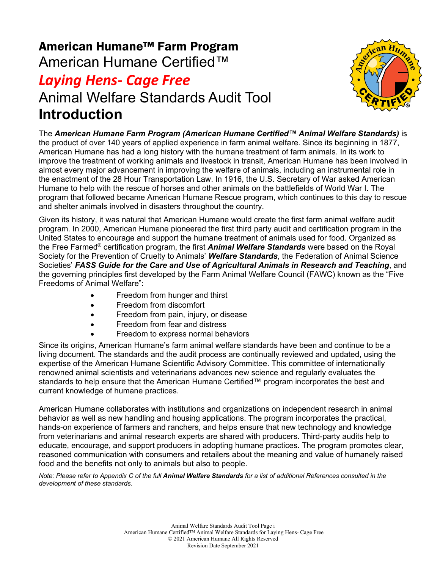# American Humane™ Farm Program American Humane Certified™

## *Laying Hens- Cage Free* Animal Welfare Standards Audit Tool **Introduction**



The *American Humane Farm Program (American Humane Certified™ Animal Welfare Standards)* is the product of over 140 years of applied experience in farm animal welfare. Since its beginning in 1877, American Humane has had a long history with the humane treatment of farm animals. In its work to improve the treatment of working animals and livestock in transit, American Humane has been involved in almost every major advancement in improving the welfare of animals, including an instrumental role in the enactment of the 28 Hour Transportation Law. In 1916, the U.S. Secretary of War asked American Humane to help with the rescue of horses and other animals on the battlefields of World War I. The program that followed became American Humane Rescue program, which continues to this day to rescue and shelter animals involved in disasters throughout the country.

Given its history, it was natural that American Humane would create the first farm animal welfare audit program. In 2000, American Humane pioneered the first third party audit and certification program in the United States to encourage and support the humane treatment of animals used for food. Organized as the Free Farmed® certification program, the first *Animal Welfare Standards* were based on the Royal Society for the Prevention of Cruelty to Animals' *Welfare Standards*, the Federation of Animal Science Societies' *FASS Guide for the Care and Use of Agricultural Animals in Research and Teaching*, and the governing principles first developed by the Farm Animal Welfare Council (FAWC) known as the "Five Freedoms of Animal Welfare":

- Freedom from hunger and thirst
- Freedom from discomfort
- Freedom from pain, injury, or disease
- Freedom from fear and distress
- Freedom to express normal behaviors

Since its origins, American Humane's farm animal welfare standards have been and continue to be a living document. The standards and the audit process are continually reviewed and updated, using the expertise of the American Humane Scientific Advisory Committee. This committee of internationally renowned animal scientists and veterinarians advances new science and regularly evaluates the standards to help ensure that the American Humane Certified™ program incorporates the best and current knowledge of humane practices.

American Humane collaborates with institutions and organizations on independent research in animal behavior as well as new handling and housing applications. The program incorporates the practical, hands-on experience of farmers and ranchers, and helps ensure that new technology and knowledge from veterinarians and animal research experts are shared with producers. Third-party audits help to educate, encourage, and support producers in adopting humane practices. The program promotes clear, reasoned communication with consumers and retailers about the meaning and value of humanely raised food and the benefits not only to animals but also to people.

*Note: Please refer to Appendix C of the full Animal Welfare Standards for a list of additional References consulted in the development of these standards.*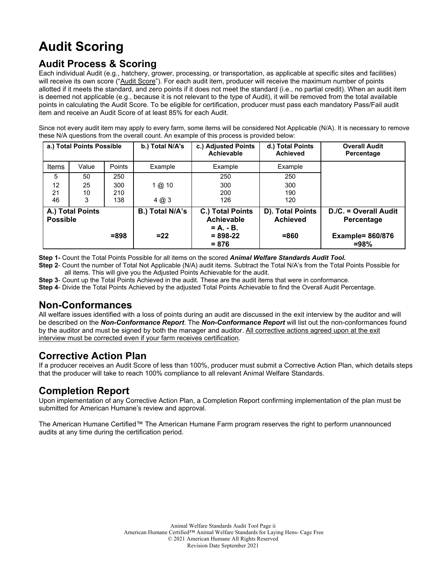# **Audit Scoring**

### **Audit Process & Scoring**

Each individual Audit (e.g., hatchery, grower, processing, or transportation, as applicable at specific sites and facilities) will receive its own score ("Audit Score"). For each audit item, producer will receive the maximum number of points allotted if it meets the standard, and zero points if it does not meet the standard (i.e., no partial credit). When an audit item is deemed not applicable (e.g., because it is not relevant to the type of Audit), it will be removed from the total available points in calculating the Audit Score. To be eligible for certification, producer must pass each mandatory Pass/Fail audit item and receive an Audit Score of at least 85% for each Audit.

Since not every audit item may apply to every farm, some items will be considered Not Applicable (N/A). It is necessary to remove these N/A questions from the overall count. An example of this process is provided below:

| a.) Total Points Possible           |       | b.) Total N/A's | c.) Adjusted Points<br><b>Achievable</b> | d.) Total Points<br><b>Achieved</b>             | <b>Overall Audit</b><br>Percentage  |                                     |
|-------------------------------------|-------|-----------------|------------------------------------------|-------------------------------------------------|-------------------------------------|-------------------------------------|
| Items                               | Value | Points          | Example                                  | Example                                         | Example                             |                                     |
| 5                                   | 50    | 250             |                                          | 250                                             | 250                                 |                                     |
| 12                                  | 25    | 300             | 1@10                                     | 300                                             | 300                                 |                                     |
| 21                                  | 10    | 210             |                                          | 200                                             | 190                                 |                                     |
| 46                                  | 3     | 138             | $4 \omega 3$                             | 126                                             | 120                                 |                                     |
| A.) Total Points<br><b>Possible</b> |       |                 | B.) Total N/A's                          | C.) Total Points<br>Achievable<br>$= A_1 - B_2$ | D). Total Points<br><b>Achieved</b> | D./C. = Overall Audit<br>Percentage |
|                                     |       | $= 898$         | $= 22$                                   | $= 898 - 22$<br>$= 876$                         | $=860$                              | <b>Example= 860/876</b><br>$= 98%$  |

**Step 1-** Count the Total Points Possible for all items on the scored *Animal Welfare Standards Audit Tool.*

**Step 2**- Count the number of Total Not Applicable (N/A) audit items. Subtract the Total N/A's from the Total Points Possible for all items. This will give you the Adjusted Points Achievable for the audit.

**Step 3**- Count up the Total Points Achieved in the audit. These are the audit items that were in conformance.

**Step 4**- Divide the Total Points Achieved by the adjusted Total Points Achievable to find the Overall Audit Percentage.

#### **Non-Conformances**

All welfare issues identified with a loss of points during an audit are discussed in the exit interview by the auditor and will be described on the *Non-Conformance Report*. The *Non-Conformance Report* will list out the non-conformances found by the auditor and must be signed by both the manager and auditor. All corrective actions agreed upon at the exit interview must be corrected even if your farm receives certification.

#### **Corrective Action Plan**

If a producer receives an Audit Score of less than 100%, producer must submit a Corrective Action Plan, which details steps that the producer will take to reach 100% compliance to all relevant Animal Welfare Standards.

#### **Completion Report**

Upon implementation of any Corrective Action Plan, a Completion Report confirming implementation of the plan must be submitted for American Humane's review and approval.

The American Humane Certified™ The American Humane Farm program reserves the right to perform unannounced audits at any time during the certification period.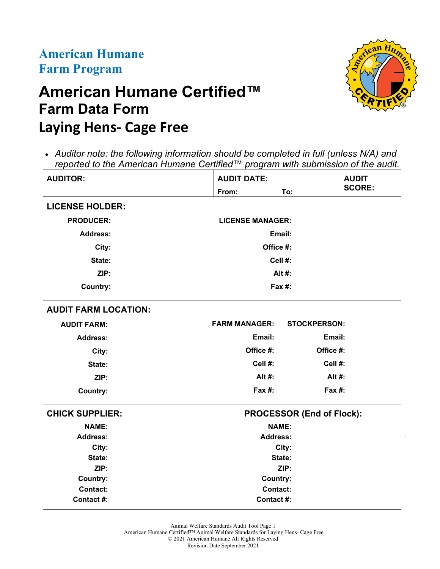## **American Humane Farm Program**

# **American Humane Certified™ Farm Data Form Laying Hens- Cage Free**



.

• *Auditor note: the following information should be completed in full (unless N/A) and reported to the American Humane Certified™ program with submission of the audit.*

| <b>AUDITOR:</b>             | <b>AUDIT DATE:</b>      |                                  |               |
|-----------------------------|-------------------------|----------------------------------|---------------|
|                             | From:                   | To:                              | <b>SCORE:</b> |
| <b>LICENSE HOLDER:</b>      |                         |                                  |               |
| <b>PRODUCER:</b>            | <b>LICENSE MANAGER:</b> |                                  |               |
| <b>Address:</b>             | Email:                  |                                  |               |
| City:                       | Office #:               |                                  |               |
| State:                      | Cell #:                 |                                  |               |
| ZIP:                        |                         | Alt #:                           |               |
| <b>Country:</b>             | Fax #:                  |                                  |               |
| <b>AUDIT FARM LOCATION:</b> |                         |                                  |               |
| <b>AUDIT FARM:</b>          | <b>FARM MANAGER:</b>    | <b>STOCKPERSON:</b>              |               |
| <b>Address:</b>             | Email:                  | Email:                           |               |
| City:                       | Office #:               | Office #:                        |               |
| State:                      | Cell #:                 | Cell #:                          |               |
| ZIP:                        | Alt #:                  | Alt #:                           |               |
| <b>Country:</b>             | Fax $#$ :               | $Fax#$ :                         |               |
| <b>CHICK SUPPLIER:</b>      |                         | <b>PROCESSOR (End of Flock):</b> |               |
| <b>NAME:</b>                | <b>NAME:</b>            |                                  |               |
| <b>Address:</b>             | <b>Address:</b>         |                                  |               |
| City:                       | City:<br>State:<br>ZIP: |                                  |               |
| State:                      |                         |                                  |               |
| ZIP:                        |                         |                                  |               |
| <b>Country:</b>             | Country:                |                                  |               |
| <b>Contact:</b>             | <b>Contact:</b>         |                                  |               |
| Contact #:                  | Contact #:              |                                  |               |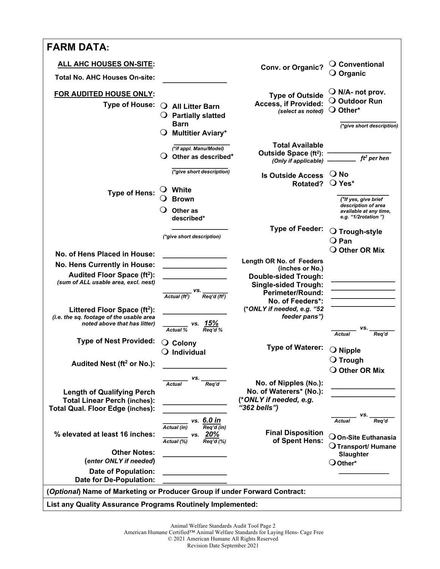| <b>FARM DATA:</b>                                                                                                   |                                                                                                         |                                                                                            |                                                                                                |
|---------------------------------------------------------------------------------------------------------------------|---------------------------------------------------------------------------------------------------------|--------------------------------------------------------------------------------------------|------------------------------------------------------------------------------------------------|
| <b>ALL AHC HOUSES ON-SITE:</b>                                                                                      |                                                                                                         |                                                                                            | $\bigcirc$ Conventional                                                                        |
| <b>Total No. AHC Houses On-site:</b>                                                                                |                                                                                                         | Conv. or Organic?                                                                          | $\bigcirc$ Organic                                                                             |
| FOR AUDITED HOUSE ONLY:<br>Type of House: $\bigcirc$                                                                | <b>All Litter Barn</b><br>$\bigcirc$ Partially slatted<br><b>Barn</b>                                   | <b>Type of Outside</b><br><b>Access, if Provided:</b><br>(select as noted)                 | $\bigcirc$ N/A- not prov.<br>$\bigcirc$ Outdoor Run<br>O Other*<br>(*give short description)   |
|                                                                                                                     | $\bigcirc$ Multitier Aviary*                                                                            |                                                                                            |                                                                                                |
|                                                                                                                     | (*if appl. Manu/Model)<br>$\bigcirc$ Other as described*                                                | <b>Total Available</b><br>Outside Space (ft <sup>2</sup> ):<br>(Only if applicable)        | $ft2$ per hen                                                                                  |
|                                                                                                                     | (*give short description)<br>$\cup$ White                                                               | <b>Is Outside Access</b><br>Rotated?                                                       | $\bigcirc$ No<br>$\bigcirc$ Yes*                                                               |
| <b>Type of Hens:</b>                                                                                                | <b>Brown</b><br>Other as<br>described*                                                                  |                                                                                            | (*If yes, give brief<br>description of area<br>available at any time,<br>e.g. "1/2rotation")   |
|                                                                                                                     | (*give short description)                                                                               | <b>Type of Feeder:</b>                                                                     | O Trough-style<br>$Q$ Pan                                                                      |
| No. of Hens Placed in House:                                                                                        |                                                                                                         |                                                                                            | O Other OR Mix                                                                                 |
| No. Hens Currently in House:                                                                                        |                                                                                                         | Length OR No. of Feeders<br>(inches or No.)                                                |                                                                                                |
| Audited Floor Space (ft <sup>2</sup> ):<br>(sum of ALL usable area, excl. nest)                                     |                                                                                                         | <b>Double-sided Trough:</b>                                                                |                                                                                                |
|                                                                                                                     | vs.                                                                                                     | <b>Single-sided Trough:</b><br><b>Perimeter/Round:</b>                                     |                                                                                                |
|                                                                                                                     | Actual $(ft^2)$ Req'd $(ft^2)$                                                                          | No. of Feeders*:                                                                           |                                                                                                |
| Littered Floor Space $(ft2)$ :<br>(i.e. the sq. footage of the usable area<br>noted above that has litter)          |                                                                                                         | (*ONLY if needed, e.g. "52<br>feeder pans")                                                |                                                                                                |
|                                                                                                                     | vs. 15%<br>% Req'd %<br><b>Actual %</b>                                                                 |                                                                                            | VS.<br><b>Actual</b><br>Req'd                                                                  |
| <b>Type of Nest Provided:</b>                                                                                       | $\bigcirc$ Colony<br>$\bigcirc$ Individual                                                              | <b>Type of Waterer:</b>                                                                    | $\bigcirc$ Nipple                                                                              |
| Audited Nest (ft <sup>2</sup> or No.):                                                                              |                                                                                                         |                                                                                            | $\bigcirc$ Trough<br>O Other OR Mix                                                            |
| <b>Length of Qualifying Perch</b><br><b>Total Linear Perch (inches):</b><br><b>Total Qual. Floor Edge (inches):</b> | vs. _<br>Req'd<br><b>Actual</b>                                                                         | No. of Nipples (No.):<br>No. of Waterers* (No.):<br>(*ONLY if needed, e.g.<br>"362 bells") |                                                                                                |
| % elevated at least 16 inches:                                                                                      | vs. 6.0 in<br>Actual (in)<br>$\overline{Req'd (in)}$<br>vs. 20%<br>$\overline{Actual(\%)}$<br>Rea'd (%) | <b>Final Disposition</b><br>of Spent Hens:                                                 | vs.<br>Reg'd<br><b>Actual</b><br>$\bigcirc$ On-Site Euthanasia<br>$\bigcirc$ Transport/ Humane |
| <b>Other Notes:</b>                                                                                                 |                                                                                                         |                                                                                            | <b>Slaughter</b>                                                                               |
| (enter ONLY if needed)                                                                                              |                                                                                                         |                                                                                            | $\bigcirc$ Other*                                                                              |
| <b>Date of Population:</b><br>Date for De-Population:                                                               |                                                                                                         |                                                                                            |                                                                                                |
| (Optional) Name of Marketing or Producer Group if under Forward Contract:                                           |                                                                                                         |                                                                                            |                                                                                                |
| List any Quality Assurance Programs Routinely Implemented:                                                          |                                                                                                         |                                                                                            |                                                                                                |

American Humane Certified™ Animal Welfare Standards for Laying Hens- Cage Free

© 2021 American Humane All Rights Reserved

Revision Date September 2021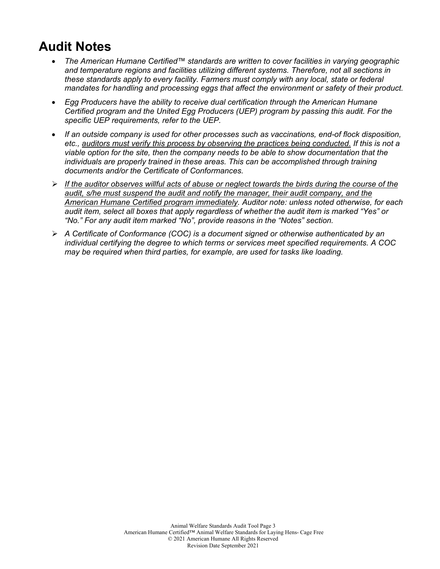## **Audit Notes**

- *The American Humane Certified™ standards are written to cover facilities in varying geographic and temperature regions and facilities utilizing different systems. Therefore, not all sections in these standards apply to every facility. Farmers must comply with any local, state or federal mandates for handling and processing eggs that affect the environment or safety of their product.*
- *Egg Producers have the ability to receive dual certification through the American Humane Certified program and the United Egg Producers (UEP) program by passing this audit. For the specific UEP requirements, refer to the UEP.*
- *If an outside company is used for other processes such as vaccinations, end-of flock disposition, etc., auditors must verify this process by observing the practices being conducted. If this is not a viable option for the site, then the company needs to be able to show documentation that the individuals are properly trained in these areas. This can be accomplished through training documents and/or the Certificate of Conformances.*
- *If the auditor observes willful acts of abuse or neglect towards the birds during the course of the audit, s/he must suspend the audit and notify the manager, their audit company, and the American Humane Certified program immediately. Auditor note: unless noted otherwise, for each audit item, select all boxes that apply regardless of whether the audit item is marked "Yes" or "No." For any audit item marked "No", provide reasons in the "Notes" section.*
- *A Certificate of Conformance (COC) is a document signed or otherwise authenticated by an individual certifying the degree to which terms or services meet specified requirements. A COC may be required when third parties, for example, are used for tasks like loading.*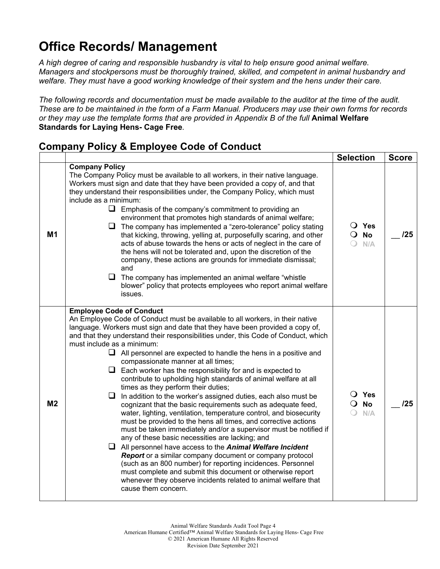## **Office Records/ Management**

*A high degree of caring and responsible husbandry is vital to help ensure good animal welfare. Managers and stockpersons must be thoroughly trained, skilled, and competent in animal husbandry and welfare. They must have a good working knowledge of their system and the hens under their care.* 

*The following records and documentation must be made available to the auditor at the time of the audit. These are to be maintained in the form of a Farm Manual. Producers may use their own forms for records or they may use the template forms that are provided in Appendix B of the full* **Animal Welfare Standards for Laying Hens- Cage Free***.*

### **Company Policy & Employee Code of Conduct**

|                |                                                                                                                                                                                                                                                                                                                                                                                                                                                                                                                                                                                                                                                                                                                                                                                                                                                                                                                                                                                                                                                                                                                                                                                                                                                                                                                                                                                               | <b>Selection</b>                               | <b>Score</b> |
|----------------|-----------------------------------------------------------------------------------------------------------------------------------------------------------------------------------------------------------------------------------------------------------------------------------------------------------------------------------------------------------------------------------------------------------------------------------------------------------------------------------------------------------------------------------------------------------------------------------------------------------------------------------------------------------------------------------------------------------------------------------------------------------------------------------------------------------------------------------------------------------------------------------------------------------------------------------------------------------------------------------------------------------------------------------------------------------------------------------------------------------------------------------------------------------------------------------------------------------------------------------------------------------------------------------------------------------------------------------------------------------------------------------------------|------------------------------------------------|--------------|
| M1             | <b>Company Policy</b><br>The Company Policy must be available to all workers, in their native language.<br>Workers must sign and date that they have been provided a copy of, and that<br>they understand their responsibilities under, the Company Policy, which must<br>include as a minimum:<br>$\Box$ Emphasis of the company's commitment to providing an<br>environment that promotes high standards of animal welfare;<br>$\Box$ The company has implemented a "zero-tolerance" policy stating<br>that kicking, throwing, yelling at, purposefully scaring, and other<br>acts of abuse towards the hens or acts of neglect in the care of<br>the hens will not be tolerated and, upon the discretion of the<br>company, these actions are grounds for immediate dismissal;<br>and<br>ப<br>The company has implemented an animal welfare "whistle<br>blower" policy that protects employees who report animal welfare<br>issues.                                                                                                                                                                                                                                                                                                                                                                                                                                                        | O Yes<br><b>No</b><br>$\Omega$<br>N/A          | 125          |
| M <sub>2</sub> | <b>Employee Code of Conduct</b><br>An Employee Code of Conduct must be available to all workers, in their native<br>language. Workers must sign and date that they have been provided a copy of,<br>and that they understand their responsibilities under, this Code of Conduct, which<br>must include as a minimum:<br>$\Box$ All personnel are expected to handle the hens in a positive and<br>compassionate manner at all times;<br>$\Box$ Each worker has the responsibility for and is expected to<br>contribute to upholding high standards of animal welfare at all<br>times as they perform their duties;<br>In addition to the worker's assigned duties, each also must be<br>u.<br>cognizant that the basic requirements such as adequate feed,<br>water, lighting, ventilation, temperature control, and biosecurity<br>must be provided to the hens all times, and corrective actions<br>must be taken immediately and/or a supervisor must be notified if<br>any of these basic necessities are lacking; and<br>$\Box$ All personnel have access to the <b>Animal Welfare Incident</b><br><b>Report</b> or a similar company document or company protocol<br>(such as an 800 number) for reporting incidences. Personnel<br>must complete and submit this document or otherwise report<br>whenever they observe incidents related to animal welfare that<br>cause them concern. | $\bigcirc$ Yes<br><b>No</b><br>$\Omega$<br>N/A | 125          |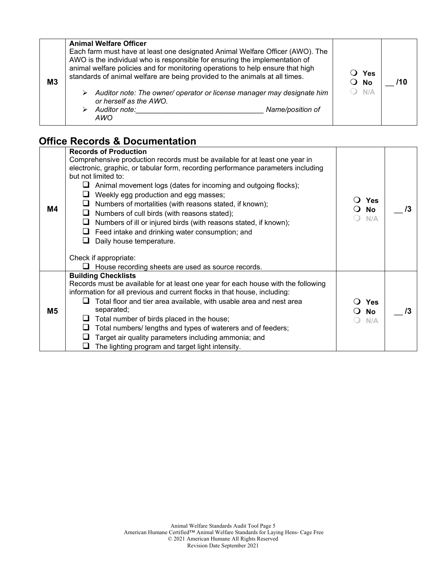| M <sub>3</sub> | <b>Animal Welfare Officer</b><br>Each farm must have at least one designated Animal Welfare Officer (AWO). The<br>AWO is the individual who is responsible for ensuring the implementation of<br>animal welfare policies and for monitoring operations to help ensure that high<br>standards of animal welfare are being provided to the animals at all times.<br>Auditor note: The owner/ operator or license manager may designate him<br>➤<br>or herself as the AWO.<br>Auditor note:<br>Name/position of<br>AWO | Yes<br>$\bigcirc$ No<br>$O$ N/A | 710 |
|----------------|---------------------------------------------------------------------------------------------------------------------------------------------------------------------------------------------------------------------------------------------------------------------------------------------------------------------------------------------------------------------------------------------------------------------------------------------------------------------------------------------------------------------|---------------------------------|-----|
|----------------|---------------------------------------------------------------------------------------------------------------------------------------------------------------------------------------------------------------------------------------------------------------------------------------------------------------------------------------------------------------------------------------------------------------------------------------------------------------------------------------------------------------------|---------------------------------|-----|

### **Office Records & Documentation**

| M4             | <b>Records of Production</b><br>Comprehensive production records must be available for at least one year in<br>electronic, graphic, or tabular form, recording performance parameters including<br>but not limited to:<br>$\Box$ Animal movement logs (dates for incoming and outgoing flocks);<br>$\Box$ Weekly egg production and egg masses;<br>Numbers of mortalities (with reasons stated, if known);<br>$\Box$ Numbers of cull birds (with reasons stated);<br>$\Box$ Numbers of ill or injured birds (with reasons stated, if known);<br>$\Box$ Feed intake and drinking water consumption; and<br>Daily house temperature.<br>ப<br>Check if appropriate: | <b>Yes</b><br><b>No</b><br>N/A | /3 |
|----------------|------------------------------------------------------------------------------------------------------------------------------------------------------------------------------------------------------------------------------------------------------------------------------------------------------------------------------------------------------------------------------------------------------------------------------------------------------------------------------------------------------------------------------------------------------------------------------------------------------------------------------------------------------------------|--------------------------------|----|
|                | $\Box$ House recording sheets are used as source records.                                                                                                                                                                                                                                                                                                                                                                                                                                                                                                                                                                                                        |                                |    |
|                | <b>Building Checklists</b>                                                                                                                                                                                                                                                                                                                                                                                                                                                                                                                                                                                                                                       |                                |    |
|                | Records must be available for at least one year for each house with the following<br>information for all previous and current flocks in that house, including:                                                                                                                                                                                                                                                                                                                                                                                                                                                                                                   |                                |    |
| M <sub>5</sub> | Total floor and tier area available, with usable area and nest area<br>separated;<br>Total number of birds placed in the house;<br>Total numbers/ lengths and types of waterers and of feeders;<br>Target air quality parameters including ammonia; and<br>ப<br>The lighting program and target light intensity.                                                                                                                                                                                                                                                                                                                                                 | <b>Yes</b><br>No<br>N/A        |    |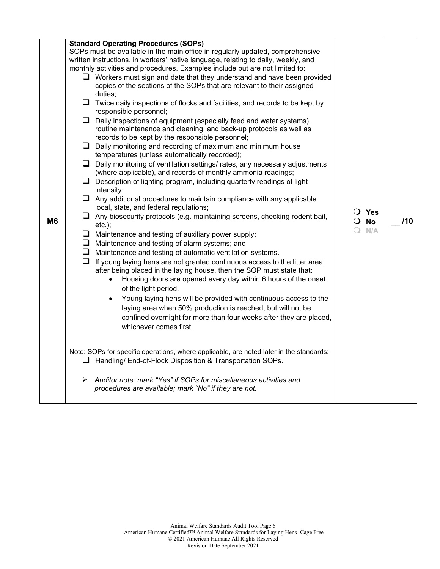| M <sub>6</sub> |   | <b>Standard Operating Procedures (SOPs)</b><br>SOPs must be available in the main office in regularly updated, comprehensive<br>written instructions, in workers' native language, relating to daily, weekly, and<br>monthly activities and procedures. Examples include but are not limited to:<br>$\Box$ Workers must sign and date that they understand and have been provided<br>copies of the sections of the SOPs that are relevant to their assigned<br>duties:<br>$\Box$ Twice daily inspections of flocks and facilities, and records to be kept by<br>responsible personnel;<br>$\Box$ Daily inspections of equipment (especially feed and water systems),<br>routine maintenance and cleaning, and back-up protocols as well as<br>records to be kept by the responsible personnel;<br>$\Box$ Daily monitoring and recording of maximum and minimum house<br>temperatures (unless automatically recorded);<br>$\Box$ Daily monitoring of ventilation settings/ rates, any necessary adjustments<br>(where applicable), and records of monthly ammonia readings;<br>$\Box$ Description of lighting program, including quarterly readings of light<br>intensity;<br>$\Box$ Any additional procedures to maintain compliance with any applicable<br>local, state, and federal regulations;<br>$\Box$ Any biosecurity protocols (e.g. maintaining screens, checking rodent bait,<br>$etc.$ );<br>$\Box$ Maintenance and testing of auxiliary power supply;<br>$\Box$ Maintenance and testing of alarm systems; and<br>$\Box$ Maintenance and testing of automatic ventilation systems.<br>$\Box$ If young laying hens are not granted continuous access to the litter area<br>after being placed in the laying house, then the SOP must state that:<br>Housing doors are opened every day within 6 hours of the onset<br>$\bullet$<br>of the light period.<br>Young laying hens will be provided with continuous access to the<br>$\bullet$<br>laying area when 50% production is reached, but will not be<br>confined overnight for more than four weeks after they are placed,<br>whichever comes first.<br>Note: SOPs for specific operations, where applicable, are noted later in the standards: | O Yes<br>$\overline{O}$ No<br>$O$ N/A | 110 |
|----------------|---|--------------------------------------------------------------------------------------------------------------------------------------------------------------------------------------------------------------------------------------------------------------------------------------------------------------------------------------------------------------------------------------------------------------------------------------------------------------------------------------------------------------------------------------------------------------------------------------------------------------------------------------------------------------------------------------------------------------------------------------------------------------------------------------------------------------------------------------------------------------------------------------------------------------------------------------------------------------------------------------------------------------------------------------------------------------------------------------------------------------------------------------------------------------------------------------------------------------------------------------------------------------------------------------------------------------------------------------------------------------------------------------------------------------------------------------------------------------------------------------------------------------------------------------------------------------------------------------------------------------------------------------------------------------------------------------------------------------------------------------------------------------------------------------------------------------------------------------------------------------------------------------------------------------------------------------------------------------------------------------------------------------------------------------------------------------------------------------------------------------------------------------------------------------------------------------------------------------|---------------------------------------|-----|
|                | ➤ | $\Box$ Handling/ End-of-Flock Disposition & Transportation SOPs.<br>Auditor note: mark "Yes" if SOPs for miscellaneous activities and<br>procedures are available; mark "No" if they are not.                                                                                                                                                                                                                                                                                                                                                                                                                                                                                                                                                                                                                                                                                                                                                                                                                                                                                                                                                                                                                                                                                                                                                                                                                                                                                                                                                                                                                                                                                                                                                                                                                                                                                                                                                                                                                                                                                                                                                                                                                |                                       |     |
|                |   |                                                                                                                                                                                                                                                                                                                                                                                                                                                                                                                                                                                                                                                                                                                                                                                                                                                                                                                                                                                                                                                                                                                                                                                                                                                                                                                                                                                                                                                                                                                                                                                                                                                                                                                                                                                                                                                                                                                                                                                                                                                                                                                                                                                                              |                                       |     |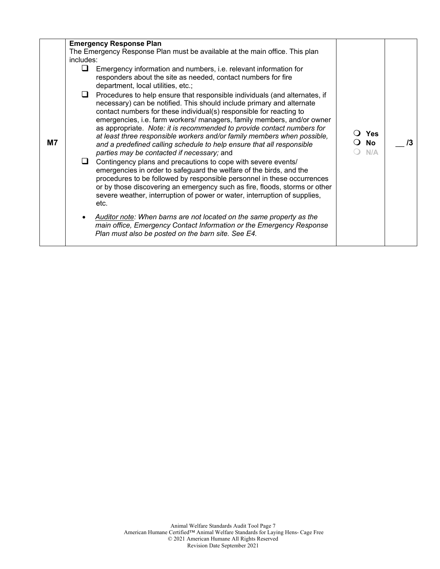|    |           | <b>Emergency Response Plan</b>                                                                                                                                                                                                                                                                                                                                                                                                                                                                                                                                                           |                         |    |
|----|-----------|------------------------------------------------------------------------------------------------------------------------------------------------------------------------------------------------------------------------------------------------------------------------------------------------------------------------------------------------------------------------------------------------------------------------------------------------------------------------------------------------------------------------------------------------------------------------------------------|-------------------------|----|
|    |           | The Emergency Response Plan must be available at the main office. This plan                                                                                                                                                                                                                                                                                                                                                                                                                                                                                                              |                         |    |
|    | includes: |                                                                                                                                                                                                                                                                                                                                                                                                                                                                                                                                                                                          |                         |    |
|    | ப         | Emergency information and numbers, i.e. relevant information for<br>responders about the site as needed, contact numbers for fire<br>department, local utilities, etc.;                                                                                                                                                                                                                                                                                                                                                                                                                  |                         |    |
| M7 |           | Procedures to help ensure that responsible individuals (and alternates, if<br>necessary) can be notified. This should include primary and alternate<br>contact numbers for these individual(s) responsible for reacting to<br>emergencies, i.e. farm workers/ managers, family members, and/or owner<br>as appropriate. Note: it is recommended to provide contact numbers for<br>at least three responsible workers and/or family members when possible,<br>and a predefined calling schedule to help ensure that all responsible<br>parties may be contacted if necessary; and         | Yes<br><b>No</b><br>N/A | /3 |
|    | ப         | Contingency plans and precautions to cope with severe events/<br>emergencies in order to safeguard the welfare of the birds, and the<br>procedures to be followed by responsible personnel in these occurrences<br>or by those discovering an emergency such as fire, floods, storms or other<br>severe weather, interruption of power or water, interruption of supplies,<br>etc.<br>Auditor note: When barns are not located on the same property as the<br>main office, Emergency Contact Information or the Emergency Response<br>Plan must also be posted on the barn site. See E4. |                         |    |
|    |           |                                                                                                                                                                                                                                                                                                                                                                                                                                                                                                                                                                                          |                         |    |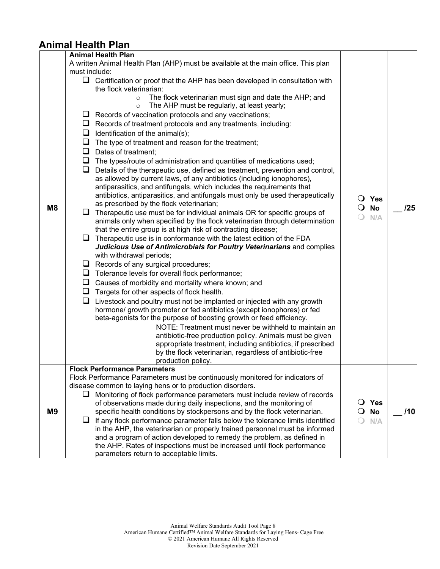### **Animal Health Plan**

|                |               | <b>Animal Health Plan</b>                                                                                        |                |     |
|----------------|---------------|------------------------------------------------------------------------------------------------------------------|----------------|-----|
|                |               | A written Animal Health Plan (AHP) must be available at the main office. This plan                               |                |     |
|                | must include: |                                                                                                                  |                |     |
|                |               |                                                                                                                  |                |     |
|                |               | $\Box$ Certification or proof that the AHP has been developed in consultation with<br>the flock veterinarian:    |                |     |
|                |               |                                                                                                                  |                |     |
|                |               | The flock veterinarian must sign and date the AHP; and<br>$\circ$<br>The AHP must be regularly, at least yearly; |                |     |
|                |               | $\circ$                                                                                                          |                |     |
|                | $\Box$        | Records of vaccination protocols and any vaccinations;                                                           |                |     |
|                |               | $\Box$ Records of treatment protocols and any treatments, including:                                             |                |     |
|                | ⊔             | Identification of the animal(s);                                                                                 |                |     |
|                | $\Box$        | The type of treatment and reason for the treatment;                                                              |                |     |
|                | Q.            | Dates of treatment;                                                                                              |                |     |
|                | $\Box$        | The types/route of administration and quantities of medications used;                                            |                |     |
|                | u             | Details of the therapeutic use, defined as treatment, prevention and control,                                    |                |     |
|                |               | as allowed by current laws, of any antibiotics (including ionophores),                                           |                |     |
|                |               | antiparasitics, and antifungals, which includes the requirements that                                            |                |     |
|                |               | antibiotics, antiparasitics, and antifungals must only be used therapeutically                                   | $\bigcirc$ Yes |     |
|                |               | as prescribed by the flock veterinarian;                                                                         |                |     |
| M <sub>8</sub> | u.            | Therapeutic use must be for individual animals OR for specific groups of                                         | <b>No</b>      | 125 |
|                |               | animals only when specified by the flock veterinarian through determination                                      | N/A            |     |
|                |               | that the entire group is at high risk of contracting disease;                                                    |                |     |
|                | u.            | Therapeutic use is in conformance with the latest edition of the FDA                                             |                |     |
|                |               | Judicious Use of Antimicrobials for Poultry Veterinarians and complies                                           |                |     |
|                |               | with withdrawal periods;                                                                                         |                |     |
|                | ⊔             | Records of any surgical procedures;                                                                              |                |     |
|                | ⊔             | Tolerance levels for overall flock performance;                                                                  |                |     |
|                |               | $\Box$ Causes of morbidity and mortality where known; and                                                        |                |     |
|                | ⊔             | Targets for other aspects of flock health.                                                                       |                |     |
|                | ❏             | Livestock and poultry must not be implanted or injected with any growth                                          |                |     |
|                |               | hormone/ growth promoter or fed antibiotics (except ionophores) or fed                                           |                |     |
|                |               | beta-agonists for the purpose of boosting growth or feed efficiency.                                             |                |     |
|                |               | NOTE: Treatment must never be withheld to maintain an                                                            |                |     |
|                |               | antibiotic-free production policy. Animals must be given                                                         |                |     |
|                |               | appropriate treatment, including antibiotics, if prescribed                                                      |                |     |
|                |               | by the flock veterinarian, regardless of antibiotic-free                                                         |                |     |
|                |               | production policy.                                                                                               |                |     |
|                |               | <b>Flock Performance Parameters</b>                                                                              |                |     |
|                |               | Flock Performance Parameters must be continuously monitored for indicators of                                    |                |     |
|                |               | disease common to laying hens or to production disorders.                                                        |                |     |
|                |               | Monitoring of flock performance parameters must include review of records                                        |                |     |
|                |               | of observations made during daily inspections, and the monitoring of                                             | $\bigcirc$ Yes |     |
| M <sub>9</sub> |               | specific health conditions by stockpersons and by the flock veterinarian.                                        | <b>No</b>      | /10 |
|                | ⊔             | If any flock performance parameter falls below the tolerance limits identified                                   | N/A            |     |
|                |               | in the AHP, the veterinarian or properly trained personnel must be informed                                      |                |     |
|                |               | and a program of action developed to remedy the problem, as defined in                                           |                |     |
|                |               | the AHP. Rates of inspections must be increased until flock performance                                          |                |     |
|                |               | parameters return to acceptable limits.                                                                          |                |     |
|                |               |                                                                                                                  |                |     |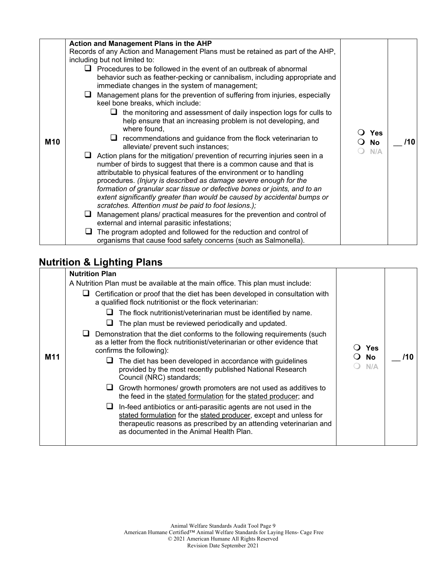| <b>M10</b> | Action and Management Plans in the AHP<br>Records of any Action and Management Plans must be retained as part of the AHP,<br>including but not limited to:<br>$\Box$ Procedures to be followed in the event of an outbreak of abnormal<br>behavior such as feather-pecking or cannibalism, including appropriate and<br>immediate changes in the system of management;<br>Management plans for the prevention of suffering from injuries, especially<br>⊔<br>keel bone breaks, which include:<br>the monitoring and assessment of daily inspection logs for culls to<br>ப<br>help ensure that an increasing problem is not developing, and<br>where found,<br>recommendations and guidance from the flock veterinarian to<br>alleviate/ prevent such instances;<br>Action plans for the mitigation/ prevention of recurring injuries seen in a<br>number of birds to suggest that there is a common cause and that is<br>attributable to physical features of the environment or to handling<br>procedures. (Injury is described as damage severe enough for the<br>formation of granular scar tissue or defective bones or joints, and to an<br>extent significantly greater than would be caused by accidental bumps or<br>scratches. Attention must be paid to foot lesions.);<br>Management plans/ practical measures for the prevention and control of<br>u.<br>external and internal parasitic infestations; | Yes<br>$\Omega$<br>No<br>$\Omega$<br>N/A | /10 |
|------------|--------------------------------------------------------------------------------------------------------------------------------------------------------------------------------------------------------------------------------------------------------------------------------------------------------------------------------------------------------------------------------------------------------------------------------------------------------------------------------------------------------------------------------------------------------------------------------------------------------------------------------------------------------------------------------------------------------------------------------------------------------------------------------------------------------------------------------------------------------------------------------------------------------------------------------------------------------------------------------------------------------------------------------------------------------------------------------------------------------------------------------------------------------------------------------------------------------------------------------------------------------------------------------------------------------------------------------------------------------------------------------------------------------------------|------------------------------------------|-----|
|            |                                                                                                                                                                                                                                                                                                                                                                                                                                                                                                                                                                                                                                                                                                                                                                                                                                                                                                                                                                                                                                                                                                                                                                                                                                                                                                                                                                                                                    |                                          |     |
|            | The program adopted and followed for the reduction and control of<br>organisms that cause food safety concerns (such as Salmonella).                                                                                                                                                                                                                                                                                                                                                                                                                                                                                                                                                                                                                                                                                                                                                                                                                                                                                                                                                                                                                                                                                                                                                                                                                                                                               |                                          |     |

### **Nutrition & Lighting Plans**

|     | <b>Nutrition Plan</b>                                                                                                                                                                                                                                        |           |     |
|-----|--------------------------------------------------------------------------------------------------------------------------------------------------------------------------------------------------------------------------------------------------------------|-----------|-----|
|     | A Nutrition Plan must be available at the main office. This plan must include:                                                                                                                                                                               |           |     |
|     | Certification or proof that the diet has been developed in consultation with<br>a qualified flock nutritionist or the flock veterinarian:                                                                                                                    |           |     |
|     | The flock nutritionist/veterinarian must be identified by name.                                                                                                                                                                                              |           |     |
|     | The plan must be reviewed periodically and updated.<br>u.                                                                                                                                                                                                    |           |     |
| M11 | Demonstration that the diet conforms to the following requirements (such<br>as a letter from the flock nutritionist/veterinarian or other evidence that<br>confirms the following):                                                                          | Yes       |     |
|     | The diet has been developed in accordance with guidelines<br>provided by the most recently published National Research<br>Council (NRC) standards;                                                                                                           | No<br>N/A | /10 |
|     | Growth hormones/ growth promoters are not used as additives to<br>u<br>the feed in the stated formulation for the stated producer; and                                                                                                                       |           |     |
|     | In-feed antibiotics or anti-parasitic agents are not used in the<br>u<br>stated formulation for the stated producer, except and unless for<br>therapeutic reasons as prescribed by an attending veterinarian and<br>as documented in the Animal Health Plan. |           |     |
|     |                                                                                                                                                                                                                                                              |           |     |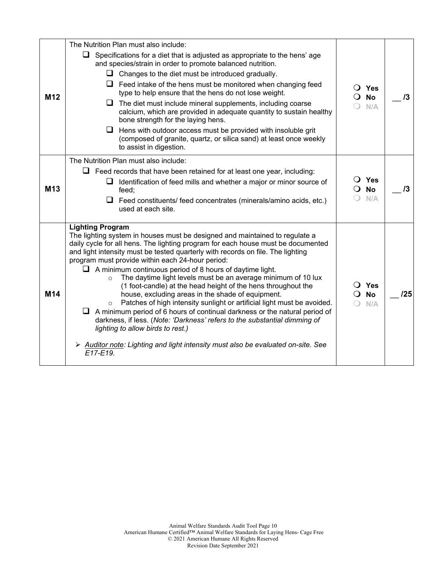| M <sub>12</sub> | The Nutrition Plan must also include:<br>$\Box$ Specifications for a diet that is adjusted as appropriate to the hens' age<br>and species/strain in order to promote balanced nutrition.<br>$\Box$ Changes to the diet must be introduced gradually.<br>$\Box$ Feed intake of the hens must be monitored when changing feed<br>type to help ensure that the hens do not lose weight.<br>$\Box$ The diet must include mineral supplements, including coarse<br>calcium, which are provided in adequate quantity to sustain healthy<br>bone strength for the laying hens.<br>$\Box$<br>Hens with outdoor access must be provided with insoluble grit<br>(composed of granite, quartz, or silica sand) at least once weekly<br>to assist in digestion.                                                                                                                                                                                                                                                 | $\overline{O}$ Yes<br>$\overline{O}$ No<br>N/A | 13  |
|-----------------|-----------------------------------------------------------------------------------------------------------------------------------------------------------------------------------------------------------------------------------------------------------------------------------------------------------------------------------------------------------------------------------------------------------------------------------------------------------------------------------------------------------------------------------------------------------------------------------------------------------------------------------------------------------------------------------------------------------------------------------------------------------------------------------------------------------------------------------------------------------------------------------------------------------------------------------------------------------------------------------------------------|------------------------------------------------|-----|
| M <sub>13</sub> | The Nutrition Plan must also include:<br>$\Box$ Feed records that have been retained for at least one year, including:<br>$\Box$ Identification of feed mills and whether a major or minor source of<br>feed;<br>$\Box$ Feed constituents/ feed concentrates (minerals/amino acids, etc.)<br>used at each site.                                                                                                                                                                                                                                                                                                                                                                                                                                                                                                                                                                                                                                                                                     | $\overline{O}$ Yes<br>$\overline{O}$ No<br>N/A | 13  |
| M14             | <b>Lighting Program</b><br>The lighting system in houses must be designed and maintained to regulate a<br>daily cycle for all hens. The lighting program for each house must be documented<br>and light intensity must be tested quarterly with records on file. The lighting<br>program must provide within each 24-hour period:<br>$\Box$ A minimum continuous period of 8 hours of daytime light.<br>The daytime light levels must be an average minimum of 10 lux<br>$\Omega$<br>(1 foot-candle) at the head height of the hens throughout the<br>house, excluding areas in the shade of equipment.<br>Patches of high intensity sunlight or artificial light must be avoided.<br>$\circ$<br>$\Box$ A minimum period of 6 hours of continual darkness or the natural period of<br>darkness, if less. (Note: 'Darkness' refers to the substantial dimming of<br>lighting to allow birds to rest.)<br>Auditor note: Lighting and light intensity must also be evaluated on-site. See<br>$E17-E19$ | $\overline{O}$ Yes<br><b>No</b><br>N/A         | /25 |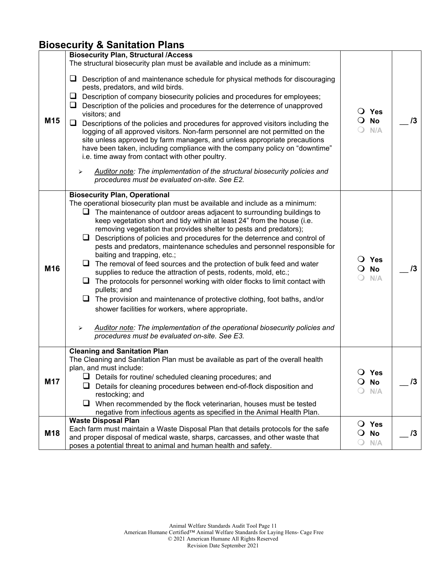### **Biosecurity & Sanitation Plans**

|                 | <b>Biosecurity Plan, Structural /Access</b><br>The structural biosecurity plan must be available and include as a minimum:                                                                                                                                                                                                                                                                                                                                                                                                                                                                                                                                                                                                                                                                                                                                                                                                                                                                                                                                                     |                                                  |    |
|-----------------|--------------------------------------------------------------------------------------------------------------------------------------------------------------------------------------------------------------------------------------------------------------------------------------------------------------------------------------------------------------------------------------------------------------------------------------------------------------------------------------------------------------------------------------------------------------------------------------------------------------------------------------------------------------------------------------------------------------------------------------------------------------------------------------------------------------------------------------------------------------------------------------------------------------------------------------------------------------------------------------------------------------------------------------------------------------------------------|--------------------------------------------------|----|
| M <sub>15</sub> | ❏<br>Description of and maintenance schedule for physical methods for discouraging<br>pests, predators, and wild birds.<br>⊔<br>Description of company biosecurity policies and procedures for employees;<br>Description of the policies and procedures for the deterrence of unapproved<br>⊔<br>visitors; and<br>❏<br>Descriptions of the policies and procedures for approved visitors including the<br>logging of all approved visitors. Non-farm personnel are not permitted on the<br>site unless approved by farm managers, and unless appropriate precautions<br>have been taken, including compliance with the company policy on "downtime"<br>i.e. time away from contact with other poultry.<br>Auditor note: The implementation of the structural biosecurity policies and<br>➤<br>procedures must be evaluated on-site. See E2.                                                                                                                                                                                                                                    | $\bigcirc$ Yes<br>$\overline{O}$ No<br>N/A       | /3 |
| M <sub>16</sub> | <b>Biosecurity Plan, Operational</b><br>The operational biosecurity plan must be available and include as a minimum:<br>$\Box$ The maintenance of outdoor areas adjacent to surrounding buildings to<br>keep vegetation short and tidy within at least 24" from the house (i.e.<br>removing vegetation that provides shelter to pests and predators);<br>Descriptions of policies and procedures for the deterrence and control of<br>pests and predators, maintenance schedules and personnel responsible for<br>baiting and trapping, etc.;<br>The removal of feed sources and the protection of bulk feed and water<br>supplies to reduce the attraction of pests, rodents, mold, etc.;<br>$\Box$ The protocols for personnel working with older flocks to limit contact with<br>pullets; and<br>$\Box$ The provision and maintenance of protective clothing, foot baths, and/or<br>shower facilities for workers, where appropriate.<br>Auditor note: The implementation of the operational biosecurity policies and<br>➤<br>procedures must be evaluated on-site. See E3. | $\bigcirc$ Yes<br><b>No</b><br>N/A               | /3 |
| M17             | <b>Cleaning and Sanitation Plan</b><br>The Cleaning and Sanitation Plan must be available as part of the overall health<br>plan, and must include:<br>Details for routine/ scheduled cleaning procedures; and<br>Details for cleaning procedures between end-of-flock disposition and<br>⊔<br>restocking; and<br>⊔<br>When recommended by the flock veterinarian, houses must be tested<br>negative from infectious agents as specified in the Animal Health Plan.                                                                                                                                                                                                                                                                                                                                                                                                                                                                                                                                                                                                             | <b>Yes</b><br><b>No</b><br>N/A                   | 13 |
| M18             | <b>Waste Disposal Plan</b><br>Each farm must maintain a Waste Disposal Plan that details protocols for the safe<br>and proper disposal of medical waste, sharps, carcasses, and other waste that<br>poses a potential threat to animal and human health and safety.                                                                                                                                                                                                                                                                                                                                                                                                                                                                                                                                                                                                                                                                                                                                                                                                            | <b>Yes</b><br>$\cup$<br>No<br>$\mathbf O$<br>N/A | 13 |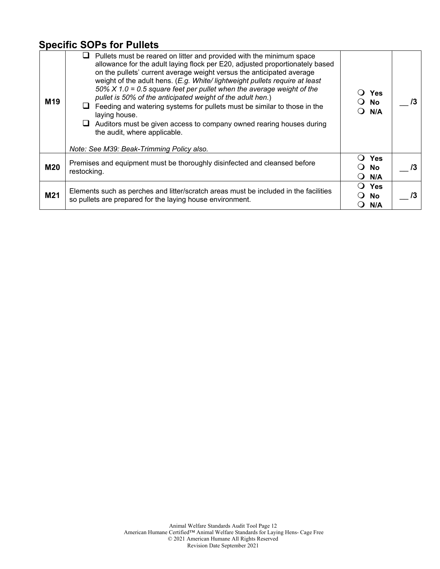### **Specific SOPs for Pullets**

| M <sub>19</sub> | Pullets must be reared on litter and provided with the minimum space<br>allowance for the adult laying flock per E20, adjusted proportionately based<br>on the pullets' current average weight versus the anticipated average<br>weight of the adult hens. (E.g. White/lightweight pullets require at least<br>50% $X$ 1.0 = 0.5 square feet per pullet when the average weight of the<br>pullet is 50% of the anticipated weight of the adult hen.)<br>Feeding and watering systems for pullets must be similar to those in the<br>laying house.<br>Auditors must be given access to company owned rearing houses during<br>the audit, where applicable. | Yes<br>○ No<br>N/A      | /3 |
|-----------------|-----------------------------------------------------------------------------------------------------------------------------------------------------------------------------------------------------------------------------------------------------------------------------------------------------------------------------------------------------------------------------------------------------------------------------------------------------------------------------------------------------------------------------------------------------------------------------------------------------------------------------------------------------------|-------------------------|----|
|                 | Note: See M39: Beak-Trimming Policy also.                                                                                                                                                                                                                                                                                                                                                                                                                                                                                                                                                                                                                 |                         |    |
| <b>M20</b>      | Premises and equipment must be thoroughly disinfected and cleansed before<br>restocking.                                                                                                                                                                                                                                                                                                                                                                                                                                                                                                                                                                  | <b>Yes</b><br>No<br>N/A | /3 |
| M21             | Elements such as perches and litter/scratch areas must be included in the facilities<br>so pullets are prepared for the laying house environment.                                                                                                                                                                                                                                                                                                                                                                                                                                                                                                         | Yes<br><b>No</b><br>N/A | /3 |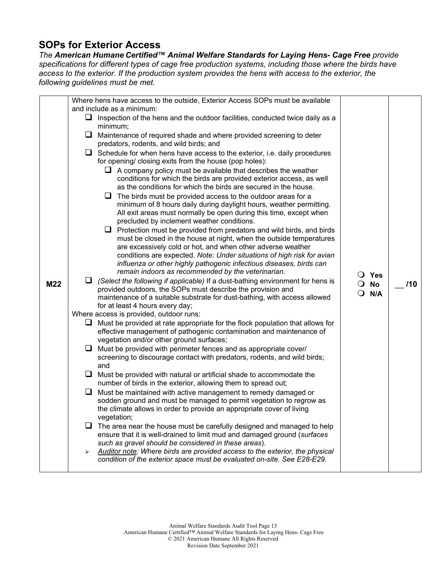### **SOPs for Exterior Access**

*The American Humane Certified™ Animal Welfare Standards for Laying Hens- Cage Free provide specifications for different types of cage free production systems, including those where the birds have access to the exterior. If the production system provides the hens with access to the exterior, the following guidelines must be met.*

| Where hens have access to the outside, Exterior Access SOPs must be available<br>and include as a minimum:<br>$\Box$ Inspection of the hens and the outdoor facilities, conducted twice daily as a<br>minimum;<br>$\Box$ Maintenance of required shade and where provided screening to deter<br>predators, rodents, and wild birds; and<br>$\Box$ Schedule for when hens have access to the exterior, i.e. daily procedures<br>for opening/ closing exits from the house (pop holes):<br>$\Box$ A company policy must be available that describes the weather<br>conditions for which the birds are provided exterior access, as well<br>as the conditions for which the birds are secured in the house.<br>$\Box$ The birds must be provided access to the outdoor areas for a<br>minimum of 8 hours daily during daylight hours, weather permitting.<br>All exit areas must normally be open during this time, except when<br>precluded by inclement weather conditions.<br>$\Box$ Protection must be provided from predators and wild birds, and birds<br>must be closed in the house at night, when the outside temperatures<br>are excessively cold or hot, and when other adverse weather<br>conditions are expected. Note: Under situations of high risk for avian<br>influenza or other highly pathogenic infectious diseases, birds can<br>remain indoors as recommended by the veterinarian.<br>$\overline{O}$ Yes<br>$\Box$ (Select the following if applicable) If a dust-bathing environment for hens is<br>M22<br>/10<br>$\overline{O}$ No<br>provided outdoors, the SOPs must describe the provision and<br>$Q$ N/A<br>maintenance of a suitable substrate for dust-bathing, with access allowed<br>for at least 4 hours every day; | Where access is provided, outdoor runs:<br>$\Box$ Must be provided at rate appropriate for the flock population that allows for<br>effective management of pathogenic contamination and maintenance of<br>vegetation and/or other ground surfaces;<br>$\Box$ Must be provided with perimeter fences and as appropriate cover/<br>screening to discourage contact with predators, rodents, and wild birds;<br>and<br>$\Box$<br>Must be provided with natural or artificial shade to accommodate the | number of birds in the exterior, allowing them to spread out;<br>$\Box$<br>Must be maintained with active management to remedy damaged or<br>sodden ground and must be managed to permit vegetation to regrow as<br>the climate allows in order to provide an appropriate cover of living<br>vegetation;<br>$\Box$ The area near the house must be carefully designed and managed to help<br>ensure that it is well-drained to limit mud and damaged ground (surfaces<br>such as gravel should be considered in these areas).<br>Auditor note: Where birds are provided access to the exterior, the physical<br>➤ |                                                                         |  |
|----------------------------------------------------------------------------------------------------------------------------------------------------------------------------------------------------------------------------------------------------------------------------------------------------------------------------------------------------------------------------------------------------------------------------------------------------------------------------------------------------------------------------------------------------------------------------------------------------------------------------------------------------------------------------------------------------------------------------------------------------------------------------------------------------------------------------------------------------------------------------------------------------------------------------------------------------------------------------------------------------------------------------------------------------------------------------------------------------------------------------------------------------------------------------------------------------------------------------------------------------------------------------------------------------------------------------------------------------------------------------------------------------------------------------------------------------------------------------------------------------------------------------------------------------------------------------------------------------------------------------------------------------------------------------------------------------------------------------------------------------|----------------------------------------------------------------------------------------------------------------------------------------------------------------------------------------------------------------------------------------------------------------------------------------------------------------------------------------------------------------------------------------------------------------------------------------------------------------------------------------------------|-------------------------------------------------------------------------------------------------------------------------------------------------------------------------------------------------------------------------------------------------------------------------------------------------------------------------------------------------------------------------------------------------------------------------------------------------------------------------------------------------------------------------------------------------------------------------------------------------------------------|-------------------------------------------------------------------------|--|
|                                                                                                                                                                                                                                                                                                                                                                                                                                                                                                                                                                                                                                                                                                                                                                                                                                                                                                                                                                                                                                                                                                                                                                                                                                                                                                                                                                                                                                                                                                                                                                                                                                                                                                                                                    |                                                                                                                                                                                                                                                                                                                                                                                                                                                                                                    |                                                                                                                                                                                                                                                                                                                                                                                                                                                                                                                                                                                                                   | condition of the exterior space must be evaluated on-site. See E28-E29. |  |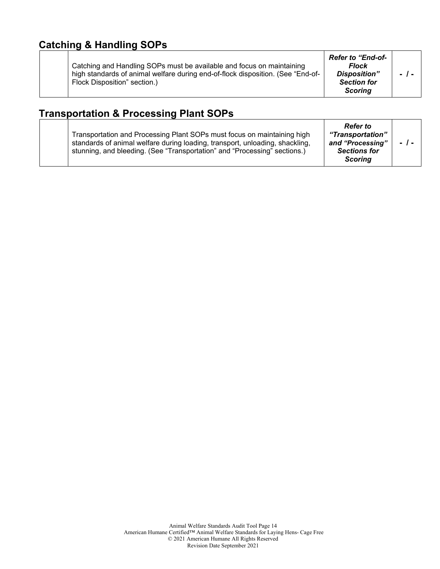### **Catching & Handling SOPs**

|  | Catching and Handling SOPs must be available and focus on maintaining<br>high standards of animal welfare during end-of-flock disposition. (See "End-of-<br>Flock Disposition" section.) | <b>Refer to "End-of-</b><br><b>Flock</b><br>Disposition"<br><b>Section for</b><br>Scorina | $-1-$ |
|--|------------------------------------------------------------------------------------------------------------------------------------------------------------------------------------------|-------------------------------------------------------------------------------------------|-------|
|--|------------------------------------------------------------------------------------------------------------------------------------------------------------------------------------------|-------------------------------------------------------------------------------------------|-------|

### **Transportation & Processing Plant SOPs**

|                                                                              | <b>Refer</b> to     |        |
|------------------------------------------------------------------------------|---------------------|--------|
| Transportation and Processing Plant SOPs must focus on maintaining high      | "Transportation"    |        |
| standards of animal welfare during loading, transport, unloading, shackling, | and "Processing"    | $-1$ - |
| stunning, and bleeding. (See "Transportation" and "Processing" sections.)    | <b>Sections for</b> |        |
|                                                                              | <b>Scoring</b>      |        |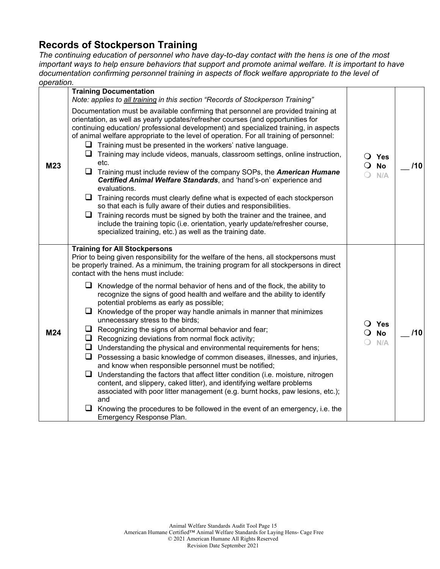### **Records of Stockperson Training**

*The continuing education of personnel who have day-to-day contact with the hens is one of the most important ways to help ensure behaviors that support and promote animal welfare. It is important to have documentation confirming personnel training in aspects of flock welfare appropriate to the level of operation.*

| ------- |                                                                                                                                                                                                                                                                                                                                                                                                                                                                                                                                                                                                                                                                                                                                                                                                                                                                                                                                                                                                                                                                                                                                                                                                                                                                                                                                       |                                                |     |
|---------|---------------------------------------------------------------------------------------------------------------------------------------------------------------------------------------------------------------------------------------------------------------------------------------------------------------------------------------------------------------------------------------------------------------------------------------------------------------------------------------------------------------------------------------------------------------------------------------------------------------------------------------------------------------------------------------------------------------------------------------------------------------------------------------------------------------------------------------------------------------------------------------------------------------------------------------------------------------------------------------------------------------------------------------------------------------------------------------------------------------------------------------------------------------------------------------------------------------------------------------------------------------------------------------------------------------------------------------|------------------------------------------------|-----|
| M23     | <b>Training Documentation</b><br>Note: applies to all training in this section "Records of Stockperson Training"<br>Documentation must be available confirming that personnel are provided training at<br>orientation, as well as yearly updates/refresher courses (and opportunities for<br>continuing education/ professional development) and specialized training, in aspects<br>of animal welfare appropriate to the level of operation. For all training of personnel:<br>$\Box$ Training must be presented in the workers' native language.<br>$\Box$ Training may include videos, manuals, classroom settings, online instruction,<br>etc.<br>ப<br>Training must include review of the company SOPs, the <b>American Humane</b><br>Certified Animal Welfare Standards, and 'hand's-on' experience and<br>evaluations.<br>$\Box$ Training records must clearly define what is expected of each stockperson<br>so that each is fully aware of their duties and responsibilities.<br>$\Box$ Training records must be signed by both the trainer and the trainee, and<br>include the training topic (i.e. orientation, yearly update/refresher course,<br>specialized training, etc.) as well as the training date.                                                                                                               | $\bigcirc$ Yes<br><b>No</b><br>$\Omega$<br>N/A | /10 |
| M24     | <b>Training for All Stockpersons</b><br>Prior to being given responsibility for the welfare of the hens, all stockpersons must<br>be properly trained. As a minimum, the training program for all stockpersons in direct<br>contact with the hens must include:<br>$\Box$ Knowledge of the normal behavior of hens and of the flock, the ability to<br>recognize the signs of good health and welfare and the ability to identify<br>potential problems as early as possible;<br>$\Box$ Knowledge of the proper way handle animals in manner that minimizes<br>unnecessary stress to the birds;<br>$\Box$ Recognizing the signs of abnormal behavior and fear;<br>$\Box$ Recognizing deviations from normal flock activity;<br>$\Box$ Understanding the physical and environmental requirements for hens;<br>$\Box$ Possessing a basic knowledge of common diseases, illnesses, and injuries,<br>and know when responsible personnel must be notified;<br>$\Box$ Understanding the factors that affect litter condition (i.e. moisture, nitrogen<br>content, and slippery, caked litter), and identifying welfare problems<br>associated with poor litter management (e.g. burnt hocks, paw lesions, etc.);<br>and<br>$\Box$ Knowing the procedures to be followed in the event of an emergency, i.e. the<br>Emergency Response Plan. | $\bigcirc$ Yes<br><b>No</b><br>$\Omega$<br>N/A | /10 |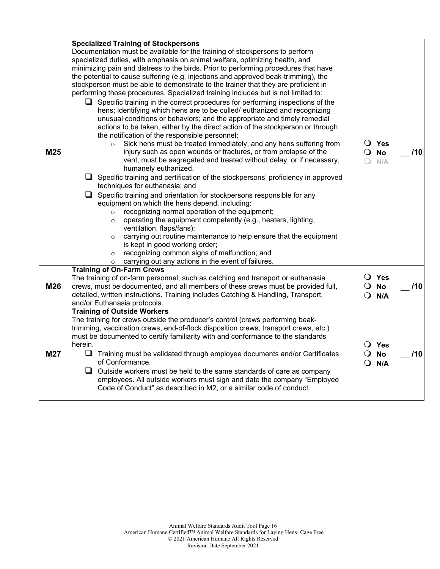|     | <b>Specialized Training of Stockpersons</b>                                                                                                                               |                        |     |
|-----|---------------------------------------------------------------------------------------------------------------------------------------------------------------------------|------------------------|-----|
|     | Documentation must be available for the training of stockpersons to perform                                                                                               |                        |     |
|     | specialized duties, with emphasis on animal welfare, optimizing health, and                                                                                               |                        |     |
|     | minimizing pain and distress to the birds. Prior to performing procedures that have<br>the potential to cause suffering (e.g. injections and approved beak-trimming), the |                        |     |
|     | stockperson must be able to demonstrate to the trainer that they are proficient in                                                                                        |                        |     |
|     | performing those procedures. Specialized training includes but is not limited to:                                                                                         |                        |     |
|     | $\Box$ Specific training in the correct procedures for performing inspections of the                                                                                      |                        |     |
|     | hens; identifying which hens are to be culled/ euthanized and recognizing                                                                                                 |                        |     |
|     | unusual conditions or behaviors; and the appropriate and timely remedial                                                                                                  |                        |     |
|     | actions to be taken, either by the direct action of the stockperson or through                                                                                            |                        |     |
|     | the notification of the responsible personnel;                                                                                                                            |                        |     |
|     | Sick hens must be treated immediately, and any hens suffering from<br>$\circ$                                                                                             | $\overline{O}$ Yes     |     |
| M25 | injury such as open wounds or fractures, or from prolapse of the                                                                                                          | $\overline{O}$ No      | 110 |
|     | vent, must be segregated and treated without delay, or if necessary,<br>humanely euthanized.                                                                              | ∩<br>N/A               |     |
|     | $\Box$ Specific training and certification of the stockpersons' proficiency in approved                                                                                   |                        |     |
|     | techniques for euthanasia; and                                                                                                                                            |                        |     |
|     | $\Box$ Specific training and orientation for stockpersons responsible for any                                                                                             |                        |     |
|     | equipment on which the hens depend, including:                                                                                                                            |                        |     |
|     | recognizing normal operation of the equipment;<br>$\circ$                                                                                                                 |                        |     |
|     | operating the equipment competently (e.g., heaters, lighting,<br>$\circ$<br>ventilation, flaps/fans);                                                                     |                        |     |
|     | carrying out routine maintenance to help ensure that the equipment<br>$\circ$                                                                                             |                        |     |
|     | is kept in good working order;                                                                                                                                            |                        |     |
|     | recognizing common signs of malfunction; and<br>$\circ$                                                                                                                   |                        |     |
|     | carrying out any actions in the event of failures.<br>$\circ$                                                                                                             |                        |     |
|     | <b>Training of On-Farm Crews</b>                                                                                                                                          |                        |     |
| M26 | The training of on-farm personnel, such as catching and transport or euthanasia<br>crews, must be documented, and all members of these crews must be provided full,       | O Yes<br>$\bigcirc$ No | 110 |
|     | detailed, written instructions. Training includes Catching & Handling, Transport,                                                                                         | $Q$ N/A                |     |
|     | and/or Euthanasia protocols.                                                                                                                                              |                        |     |
|     | <b>Training of Outside Workers</b>                                                                                                                                        |                        |     |
|     | The training for crews outside the producer's control (crews performing beak-                                                                                             |                        |     |
|     | trimming, vaccination crews, end-of-flock disposition crews, transport crews, etc.)                                                                                       |                        |     |
|     | must be documented to certify familiarity with and conformance to the standards<br>herein.                                                                                | O Yes                  |     |
| M27 | $\Box$ Training must be validated through employee documents and/or Certificates                                                                                          | $\overline{O}$ No      | 110 |
|     | of Conformance.                                                                                                                                                           | $\Omega$<br>N/A        |     |
|     | ⊔.<br>Outside workers must be held to the same standards of care as company                                                                                               |                        |     |
|     | employees. All outside workers must sign and date the company "Employee                                                                                                   |                        |     |
|     | Code of Conduct" as described in M2, or a similar code of conduct.                                                                                                        |                        |     |
|     |                                                                                                                                                                           |                        |     |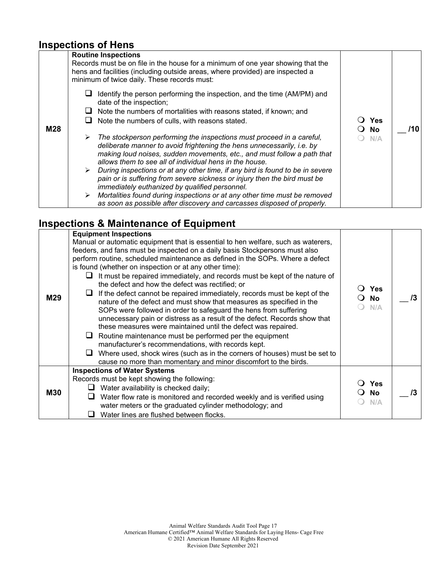### **Inspections of Hens**

|     | <b>Routine Inspections</b>                                                                                                                                                                                                                                                                 |            |     |
|-----|--------------------------------------------------------------------------------------------------------------------------------------------------------------------------------------------------------------------------------------------------------------------------------------------|------------|-----|
|     | Records must be on file in the house for a minimum of one year showing that the<br>hens and facilities (including outside areas, where provided) are inspected a<br>minimum of twice daily. These records must:                                                                            |            |     |
|     | Identify the person performing the inspection, and the time (AM/PM) and<br>date of the inspection;                                                                                                                                                                                         |            |     |
|     | Note the numbers of mortalities with reasons stated, if known; and                                                                                                                                                                                                                         |            |     |
|     | Note the numbers of culls, with reasons stated.                                                                                                                                                                                                                                            | <b>Yes</b> |     |
| M28 |                                                                                                                                                                                                                                                                                            | <b>No</b>  | /10 |
|     | The stockperson performing the inspections must proceed in a careful,<br>≻<br>deliberate manner to avoid frightening the hens unnecessarily, i.e. by<br>making loud noises, sudden movements, etc., and must follow a path that<br>allows them to see all of individual hens in the house. | N/A        |     |
|     | During inspections or at any other time, if any bird is found to be in severe<br>≻                                                                                                                                                                                                         |            |     |
|     | pain or is suffering from severe sickness or injury then the bird must be                                                                                                                                                                                                                  |            |     |
|     | immediately euthanized by qualified personnel.<br>Mortalities found during inspections or at any other time must be removed                                                                                                                                                                |            |     |
|     | as soon as possible after discovery and carcasses disposed of properly.                                                                                                                                                                                                                    |            |     |

### **Inspections & Maintenance of Equipment**

|            | <b>Equipment Inspections</b>                                                                                                                                                                                                                                                                                                                                                                                                                                                                                                                                                                                                                                                                                                                                                                                                                                                                                                                                                                                                                                                                          |                                |  |
|------------|-------------------------------------------------------------------------------------------------------------------------------------------------------------------------------------------------------------------------------------------------------------------------------------------------------------------------------------------------------------------------------------------------------------------------------------------------------------------------------------------------------------------------------------------------------------------------------------------------------------------------------------------------------------------------------------------------------------------------------------------------------------------------------------------------------------------------------------------------------------------------------------------------------------------------------------------------------------------------------------------------------------------------------------------------------------------------------------------------------|--------------------------------|--|
| M29        | Manual or automatic equipment that is essential to hen welfare, such as waterers,<br>feeders, and fans must be inspected on a daily basis Stockpersons must also<br>perform routine, scheduled maintenance as defined in the SOPs. Where a defect<br>is found (whether on inspection or at any other time):<br>It must be repaired immediately, and records must be kept of the nature of<br>ப<br>the defect and how the defect was rectified; or<br>If the defect cannot be repaired immediately, records must be kept of the<br>nature of the defect and must show that measures as specified in the<br>SOPs were followed in order to safeguard the hens from suffering<br>unnecessary pain or distress as a result of the defect. Records show that<br>these measures were maintained until the defect was repaired.<br>$\Box$ Routine maintenance must be performed per the equipment<br>manufacturer's recommendations, with records kept.<br>Where used, shock wires (such as in the corners of houses) must be set to<br>ப<br>cause no more than momentary and minor discomfort to the birds. | <b>Yes</b><br><b>No</b><br>N/A |  |
| <b>M30</b> | <b>Inspections of Water Systems</b><br>Records must be kept showing the following:<br>Water availability is checked daily;<br>Water flow rate is monitored and recorded weekly and is verified using<br>water meters or the graduated cylinder methodology; and                                                                                                                                                                                                                                                                                                                                                                                                                                                                                                                                                                                                                                                                                                                                                                                                                                       | <b>Yes</b><br><b>No</b><br>N/A |  |
|            | Water lines are flushed between flocks.                                                                                                                                                                                                                                                                                                                                                                                                                                                                                                                                                                                                                                                                                                                                                                                                                                                                                                                                                                                                                                                               |                                |  |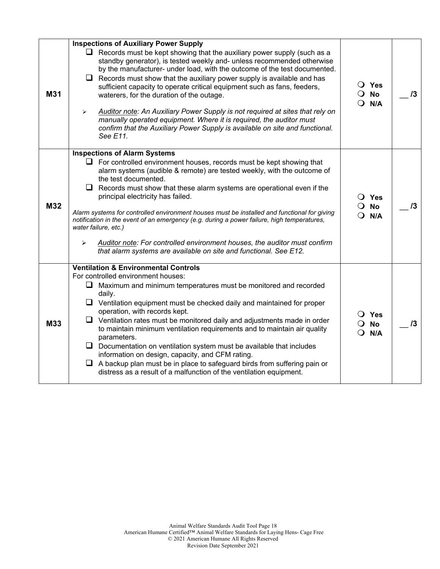|     | <b>Inspections of Auxiliary Power Supply</b>                                                                                                                                                                                                                                                                                                                                                                                                                                                                                                                                                                                                                                                                     |                                                           |    |
|-----|------------------------------------------------------------------------------------------------------------------------------------------------------------------------------------------------------------------------------------------------------------------------------------------------------------------------------------------------------------------------------------------------------------------------------------------------------------------------------------------------------------------------------------------------------------------------------------------------------------------------------------------------------------------------------------------------------------------|-----------------------------------------------------------|----|
| M31 | $\Box$ Records must be kept showing that the auxiliary power supply (such as a<br>standby generator), is tested weekly and- unless recommended otherwise<br>by the manufacturer- under load, with the outcome of the test documented.<br>$\Box$ Records must show that the auxiliary power supply is available and has<br>sufficient capacity to operate critical equipment such as fans, feeders,<br>waterers, for the duration of the outage.<br>Auditor note: An Auxiliary Power Supply is not required at sites that rely on<br>➤<br>manually operated equipment. Where it is required, the auditor must<br>confirm that the Auxiliary Power Supply is available on site and functional.<br>See E11.         | $\bigcirc$ Yes<br>$\overline{O}$ No<br>$Q$ N/A            | 13 |
|     | <b>Inspections of Alarm Systems</b>                                                                                                                                                                                                                                                                                                                                                                                                                                                                                                                                                                                                                                                                              |                                                           |    |
| M32 | $\Box$ For controlled environment houses, records must be kept showing that<br>alarm systems (audible & remote) are tested weekly, with the outcome of<br>the test documented.<br>$\Box$ Records must show that these alarm systems are operational even if the<br>principal electricity has failed.<br>Alarm systems for controlled environment houses must be installed and functional for giving<br>notification in the event of an emergency (e.g. during a power failure, high temperatures,<br>water failure, etc.)<br>Auditor note: For controlled environment houses, the auditor must confirm<br>➤<br>that alarm systems are available on site and functional. See E12.                                 | $\overline{O}$ Yes<br>$\overline{O}$ No<br>$\bigcirc$ N/A | 13 |
|     | <b>Ventilation &amp; Environmental Controls</b>                                                                                                                                                                                                                                                                                                                                                                                                                                                                                                                                                                                                                                                                  |                                                           |    |
| M33 | For controlled environment houses:<br>$\Box$ Maximum and minimum temperatures must be monitored and recorded<br>daily.<br>$\Box$ Ventilation equipment must be checked daily and maintained for proper<br>operation, with records kept.<br>$\Box$ Ventilation rates must be monitored daily and adjustments made in order<br>to maintain minimum ventilation requirements and to maintain air quality<br>parameters.<br>$\Box$ Documentation on ventilation system must be available that includes<br>information on design, capacity, and CFM rating.<br>$\Box$ A backup plan must be in place to safeguard birds from suffering pain or<br>distress as a result of a malfunction of the ventilation equipment. | $\overline{O}$ Yes<br>$\overline{O}$ No<br>$Q$ N/A        | 13 |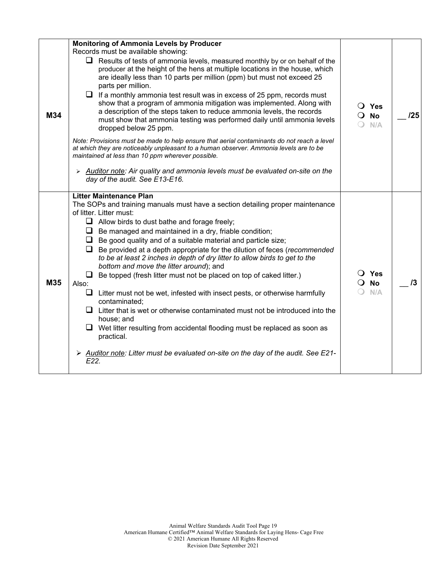| M34 | <b>Monitoring of Ammonia Levels by Producer</b><br>Records must be available showing:<br>Results of tests of ammonia levels, measured monthly by or on behalf of the<br>u.<br>producer at the height of the hens at multiple locations in the house, which<br>are ideally less than 10 parts per million (ppm) but must not exceed 25<br>parts per million.<br>$\Box$ If a monthly ammonia test result was in excess of 25 ppm, records must<br>show that a program of ammonia mitigation was implemented. Along with<br>a description of the steps taken to reduce ammonia levels, the records<br>must show that ammonia testing was performed daily until ammonia levels<br>dropped below 25 ppm.<br>Note: Provisions must be made to help ensure that aerial contaminants do not reach a level<br>at which they are noticeably unpleasant to a human observer. Ammonia levels are to be<br>maintained at less than 10 ppm wherever possible.<br>$\triangleright$ Auditor note: Air quality and ammonia levels must be evaluated on-site on the<br>day of the audit. See E13-E16. | $\bigcirc$ Yes<br>$\overline{O}$ No<br>N/A | 125 |
|-----|-------------------------------------------------------------------------------------------------------------------------------------------------------------------------------------------------------------------------------------------------------------------------------------------------------------------------------------------------------------------------------------------------------------------------------------------------------------------------------------------------------------------------------------------------------------------------------------------------------------------------------------------------------------------------------------------------------------------------------------------------------------------------------------------------------------------------------------------------------------------------------------------------------------------------------------------------------------------------------------------------------------------------------------------------------------------------------------|--------------------------------------------|-----|
| M35 | <b>Litter Maintenance Plan</b><br>The SOPs and training manuals must have a section detailing proper maintenance<br>of litter. Litter must:<br>$\Box$ Allow birds to dust bathe and forage freely;<br>$\Box$ Be managed and maintained in a dry, friable condition;<br>Be good quality and of a suitable material and particle size;<br>⊔<br>$\Box$<br>Be provided at a depth appropriate for the dilution of feces (recommended<br>to be at least 2 inches in depth of dry litter to allow birds to get to the<br>bottom and move the litter around); and<br>Be topped (fresh litter must not be placed on top of caked litter.)<br>ப<br>Also:<br>Litter must not be wet, infested with insect pests, or otherwise harmfully<br>⊔<br>contaminated;<br>$\Box$ Litter that is wet or otherwise contaminated must not be introduced into the<br>house; and<br>$\Box$ Wet litter resulting from accidental flooding must be replaced as soon as<br>practical.<br>$\triangleright$ Auditor note: Litter must be evaluated on-site on the day of the audit. See E21-<br>E22.             | $\bigcirc$ Yes<br>$\overline{O}$ No<br>N/A | /3  |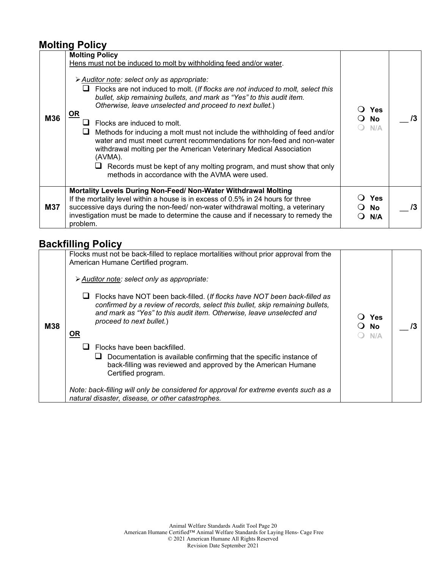#### **Molting Policy**

| M36        | <b>Molting Policy</b><br>Hens must not be induced to molt by withholding feed and/or water.<br>> Auditor note: select only as appropriate:<br>Flocks are not induced to molt. (If flocks are not induced to molt, select this<br>bullet, skip remaining bullets, and mark as "Yes" to this audit item.<br>Otherwise, leave unselected and proceed to next bullet.)<br><u>OR</u><br>Flocks are induced to molt.<br>Methods for inducing a molt must not include the withholding of feed and/or<br>water and must meet current recommendations for non-feed and non-water<br>withdrawal molting per the American Veterinary Medical Association<br>(AVMA).<br>Records must be kept of any molting program, and must show that only<br>methods in accordance with the AVMA were used. | <b>Yes</b><br><b>No</b><br>N/A | /3 |
|------------|------------------------------------------------------------------------------------------------------------------------------------------------------------------------------------------------------------------------------------------------------------------------------------------------------------------------------------------------------------------------------------------------------------------------------------------------------------------------------------------------------------------------------------------------------------------------------------------------------------------------------------------------------------------------------------------------------------------------------------------------------------------------------------|--------------------------------|----|
| <b>M37</b> | Mortality Levels During Non-Feed/ Non-Water Withdrawal Molting<br>If the mortality level within a house is in excess of 0.5% in 24 hours for three<br>successive days during the non-feed/ non-water withdrawal molting, a veterinary<br>investigation must be made to determine the cause and if necessary to remedy the<br>problem.                                                                                                                                                                                                                                                                                                                                                                                                                                              | Yes<br><b>No</b><br>N/A        | /3 |

### **Backfilling Policy**

|            | Flocks must not be back-filled to replace mortalities without prior approval from the<br>American Humane Certified program.                                                                                                                                                       |                         |    |
|------------|-----------------------------------------------------------------------------------------------------------------------------------------------------------------------------------------------------------------------------------------------------------------------------------|-------------------------|----|
|            | > Auditor note: select only as appropriate:                                                                                                                                                                                                                                       |                         |    |
| <b>M38</b> | Flocks have NOT been back-filled. (If flocks have NOT been back-filled as<br>ப<br>confirmed by a review of records, select this bullet, skip remaining bullets,<br>and mark as "Yes" to this audit item. Otherwise, leave unselected and<br>proceed to next bullet.)<br><u>OR</u> | Yes<br><b>No</b><br>N/A | /3 |
|            | Flocks have been backfilled.<br>Documentation is available confirming that the specific instance of<br>⊔<br>back-filling was reviewed and approved by the American Humane<br>Certified program.                                                                                   |                         |    |
|            | Note: back-filling will only be considered for approval for extreme events such as a<br>natural disaster, disease, or other catastrophes.                                                                                                                                         |                         |    |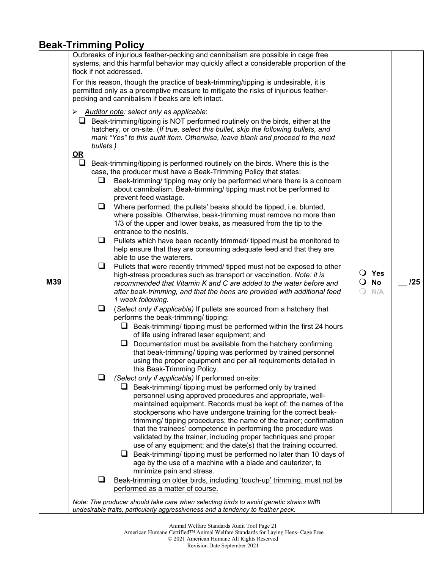### **Beak-Trimming Policy**

| M39 | flock if not addressed.<br>➤<br>bullets.)<br><u>OR</u><br>□<br>⊔<br>❏<br>❏<br>⊔<br>❏<br>ப | Outbreaks of injurious feather-pecking and cannibalism are possible in cage free<br>systems, and this harmful behavior may quickly affect a considerable proportion of the<br>For this reason, though the practice of beak-trimming/tipping is undesirable, it is<br>permitted only as a preemptive measure to mitigate the risks of injurious feather-<br>pecking and cannibalism if beaks are left intact.<br>Auditor note: select only as applicable:<br>$\Box$ Beak-trimming/tipping is NOT performed routinely on the birds, either at the<br>hatchery, or on-site. (If true, select this bullet, skip the following bullets, and<br>mark "Yes" to this audit item. Otherwise, leave blank and proceed to the next<br>Beak-trimming/tipping is performed routinely on the birds. Where this is the<br>case, the producer must have a Beak-Trimming Policy that states:<br>Beak-trimming/ tipping may only be performed where there is a concern<br>about cannibalism. Beak-trimming/ tipping must not be performed to<br>prevent feed wastage.<br>Where performed, the pullets' beaks should be tipped, i.e. blunted,<br>where possible. Otherwise, beak-trimming must remove no more than<br>1/3 of the upper and lower beaks, as measured from the tip to the<br>entrance to the nostrils.<br>Pullets which have been recently trimmed/ tipped must be monitored to<br>help ensure that they are consuming adequate feed and that they are<br>able to use the waterers.<br>Pullets that were recently trimmed/ tipped must not be exposed to other<br>high-stress procedures such as transport or vaccination. Note: it is<br>recommended that Vitamin K and C are added to the water before and<br>after beak-trimming, and that the hens are provided with additional feed<br>1 week following.<br>(Select only if applicable) If pullets are sourced from a hatchery that<br>performs the beak-trimming/ tipping:<br>$\Box$ Beak-trimming/ tipping must be performed within the first 24 hours<br>of life using infrared laser equipment; and<br>Documentation must be available from the hatchery confirming<br>⊔<br>that beak-trimming/ tipping was performed by trained personnel<br>using the proper equipment and per all requirements detailed in<br>this Beak-Trimming Policy.<br>(Select only if applicable) If performed on-site:<br>Beak-trimming/ tipping must be performed only by trained<br>personnel using approved procedures and appropriate, well-<br>maintained equipment. Records must be kept of: the names of the<br>stockpersons who have undergone training for the correct beak-<br>trimming/ tipping procedures; the name of the trainer; confirmation<br>that the trainees' competence in performing the procedure was<br>validated by the trainer, including proper techniques and proper<br>use of any equipment; and the date(s) that the training occurred.<br>$\Box$ Beak-trimming/ tipping must be performed no later than 10 days of<br>age by the use of a machine with a blade and cauterizer, to<br>minimize pain and stress. | $\overline{O}$ No<br>$\bigcirc$ | $\overline{O}$ Yes<br>N/A | 125 |
|-----|-------------------------------------------------------------------------------------------|------------------------------------------------------------------------------------------------------------------------------------------------------------------------------------------------------------------------------------------------------------------------------------------------------------------------------------------------------------------------------------------------------------------------------------------------------------------------------------------------------------------------------------------------------------------------------------------------------------------------------------------------------------------------------------------------------------------------------------------------------------------------------------------------------------------------------------------------------------------------------------------------------------------------------------------------------------------------------------------------------------------------------------------------------------------------------------------------------------------------------------------------------------------------------------------------------------------------------------------------------------------------------------------------------------------------------------------------------------------------------------------------------------------------------------------------------------------------------------------------------------------------------------------------------------------------------------------------------------------------------------------------------------------------------------------------------------------------------------------------------------------------------------------------------------------------------------------------------------------------------------------------------------------------------------------------------------------------------------------------------------------------------------------------------------------------------------------------------------------------------------------------------------------------------------------------------------------------------------------------------------------------------------------------------------------------------------------------------------------------------------------------------------------------------------------------------------------------------------------------------------------------------------------------------------------------------------------------------------------------------------------------------------------------------------------------------------------------------------------------------------------------------------------------------------------------------------------------------------------------------------------------------------------------------------------------------------------------------------------------------------------------------------------------------------------------------|---------------------------------|---------------------------|-----|
|     |                                                                                           |                                                                                                                                                                                                                                                                                                                                                                                                                                                                                                                                                                                                                                                                                                                                                                                                                                                                                                                                                                                                                                                                                                                                                                                                                                                                                                                                                                                                                                                                                                                                                                                                                                                                                                                                                                                                                                                                                                                                                                                                                                                                                                                                                                                                                                                                                                                                                                                                                                                                                                                                                                                                                                                                                                                                                                                                                                                                                                                                                                                                                                                                              |                                 |                           |     |
|     |                                                                                           |                                                                                                                                                                                                                                                                                                                                                                                                                                                                                                                                                                                                                                                                                                                                                                                                                                                                                                                                                                                                                                                                                                                                                                                                                                                                                                                                                                                                                                                                                                                                                                                                                                                                                                                                                                                                                                                                                                                                                                                                                                                                                                                                                                                                                                                                                                                                                                                                                                                                                                                                                                                                                                                                                                                                                                                                                                                                                                                                                                                                                                                                              |                                 |                           |     |
|     |                                                                                           |                                                                                                                                                                                                                                                                                                                                                                                                                                                                                                                                                                                                                                                                                                                                                                                                                                                                                                                                                                                                                                                                                                                                                                                                                                                                                                                                                                                                                                                                                                                                                                                                                                                                                                                                                                                                                                                                                                                                                                                                                                                                                                                                                                                                                                                                                                                                                                                                                                                                                                                                                                                                                                                                                                                                                                                                                                                                                                                                                                                                                                                                              |                                 |                           |     |
|     | ப                                                                                         | Beak-trimming on older birds, including 'touch-up' trimming, must not be<br>performed as a matter of course.                                                                                                                                                                                                                                                                                                                                                                                                                                                                                                                                                                                                                                                                                                                                                                                                                                                                                                                                                                                                                                                                                                                                                                                                                                                                                                                                                                                                                                                                                                                                                                                                                                                                                                                                                                                                                                                                                                                                                                                                                                                                                                                                                                                                                                                                                                                                                                                                                                                                                                                                                                                                                                                                                                                                                                                                                                                                                                                                                                 |                                 |                           |     |
|     |                                                                                           |                                                                                                                                                                                                                                                                                                                                                                                                                                                                                                                                                                                                                                                                                                                                                                                                                                                                                                                                                                                                                                                                                                                                                                                                                                                                                                                                                                                                                                                                                                                                                                                                                                                                                                                                                                                                                                                                                                                                                                                                                                                                                                                                                                                                                                                                                                                                                                                                                                                                                                                                                                                                                                                                                                                                                                                                                                                                                                                                                                                                                                                                              |                                 |                           |     |
|     |                                                                                           | Note: The producer should take care when selecting birds to avoid genetic strains with<br>undesirable traits, particularly aggressiveness and a tendency to feather peck.                                                                                                                                                                                                                                                                                                                                                                                                                                                                                                                                                                                                                                                                                                                                                                                                                                                                                                                                                                                                                                                                                                                                                                                                                                                                                                                                                                                                                                                                                                                                                                                                                                                                                                                                                                                                                                                                                                                                                                                                                                                                                                                                                                                                                                                                                                                                                                                                                                                                                                                                                                                                                                                                                                                                                                                                                                                                                                    |                                 |                           |     |

Revision Date September 2021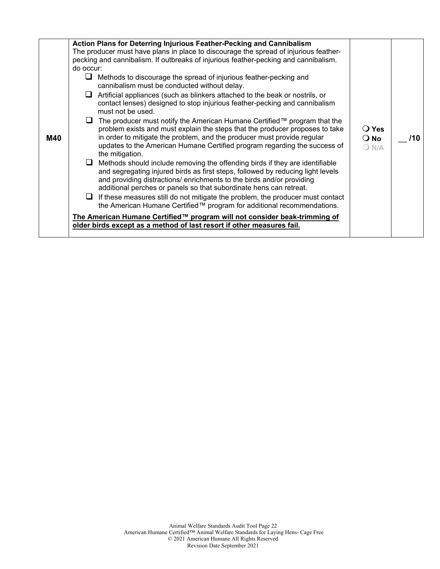|     | Action Plans for Deterring Injurious Feather-Pecking and Cannibalism                                                                                                                                                                                                                                                                                   |                                            |     |
|-----|--------------------------------------------------------------------------------------------------------------------------------------------------------------------------------------------------------------------------------------------------------------------------------------------------------------------------------------------------------|--------------------------------------------|-----|
|     | The producer must have plans in place to discourage the spread of injurious feather-                                                                                                                                                                                                                                                                   |                                            |     |
|     | pecking and cannibalism. If outbreaks of injurious feather-pecking and cannibalism.                                                                                                                                                                                                                                                                    |                                            |     |
|     | do occur:                                                                                                                                                                                                                                                                                                                                              |                                            |     |
|     | Methods to discourage the spread of injurious feather-pecking and<br>⊔<br>cannibalism must be conducted without delay.                                                                                                                                                                                                                                 |                                            |     |
|     | $\Box$ Artificial appliances (such as blinkers attached to the beak or nostrils, or<br>contact lenses) designed to stop injurious feather-pecking and cannibalism<br>must not be used.                                                                                                                                                                 |                                            |     |
| M40 | $\Box$ The producer must notify the American Humane Certified $\mathbb{M}$ program that the<br>problem exists and must explain the steps that the producer proposes to take<br>in order to mitigate the problem, and the producer must provide regular<br>updates to the American Humane Certified program regarding the success of<br>the mitigation. | $\bigcirc$ Yes<br>$\bigcirc$ No<br>$O$ N/A | /10 |
|     | Methods should include removing the offending birds if they are identifiable<br>⊔<br>and segregating injured birds as first steps, followed by reducing light levels<br>and providing distractions/ enrichments to the birds and/or providing<br>additional perches or panels so that subordinate hens can retreat.                                    |                                            |     |
|     | $\Box$ If these measures still do not mitigate the problem, the producer must contact<br>the American Humane Certified™ program for additional recommendations.                                                                                                                                                                                        |                                            |     |
|     | The American Humane Certified™ program will not consider beak-trimming of<br>older birds except as a method of last resort if other measures fail.                                                                                                                                                                                                     |                                            |     |
|     |                                                                                                                                                                                                                                                                                                                                                        |                                            |     |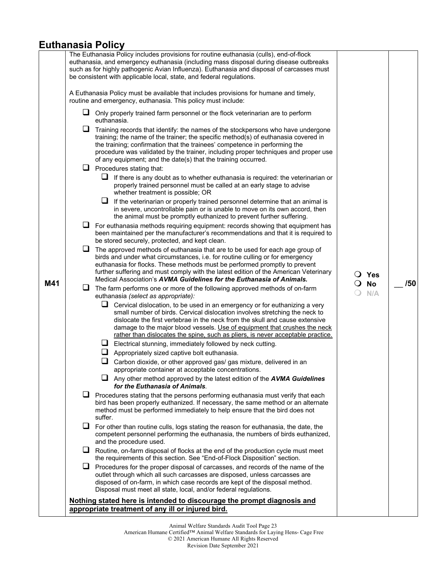### **Euthanasia Policy**

|     |   | The Euthanasia Policy includes provisions for routine euthanasia (culls), end-of-flock<br>euthanasia, and emergency euthanasia (including mass disposal during disease outbreaks<br>such as for highly pathogenic Avian Influenza). Euthanasia and disposal of carcasses must<br>be consistent with applicable local, state, and federal regulations.                                                       |   |                  |     |
|-----|---|-------------------------------------------------------------------------------------------------------------------------------------------------------------------------------------------------------------------------------------------------------------------------------------------------------------------------------------------------------------------------------------------------------------|---|------------------|-----|
|     |   | A Euthanasia Policy must be available that includes provisions for humane and timely,<br>routine and emergency, euthanasia. This policy must include:                                                                                                                                                                                                                                                       |   |                  |     |
|     |   | Only properly trained farm personnel or the flock veterinarian are to perform<br>euthanasia.                                                                                                                                                                                                                                                                                                                |   |                  |     |
|     | ⊔ | Training records that identify: the names of the stockpersons who have undergone<br>training; the name of the trainer; the specific method(s) of euthanasia covered in<br>the training; confirmation that the trainees' competence in performing the<br>procedure was validated by the trainer, including proper techniques and proper use<br>of any equipment; and the date(s) that the training occurred. |   |                  |     |
|     |   | $\Box$ Procedures stating that:                                                                                                                                                                                                                                                                                                                                                                             |   |                  |     |
|     |   | $\Box$ If there is any doubt as to whether euthanasia is required: the veterinarian or<br>properly trained personnel must be called at an early stage to advise<br>whether treatment is possible; OR                                                                                                                                                                                                        |   |                  |     |
|     |   | ⊔<br>If the veterinarian or properly trained personnel determine that an animal is<br>in severe, uncontrollable pain or is unable to move on its own accord, then<br>the animal must be promptly euthanized to prevent further suffering.                                                                                                                                                                   |   |                  |     |
|     |   | For euthanasia methods requiring equipment: records showing that equipment has<br>been maintained per the manufacturer's recommendations and that it is required to<br>be stored securely, protected, and kept clean.                                                                                                                                                                                       |   |                  |     |
| M41 | ⊔ | The approved methods of euthanasia that are to be used for each age group of<br>birds and under what circumstances, i.e. for routine culling or for emergency<br>euthanasia for flocks. These methods must be performed promptly to prevent<br>further suffering and must comply with the latest edition of the American Veterinary<br>Medical Association's AVMA Guidelines for the Euthanasia of Animals. |   | $\bigcirc$ Yes   | /50 |
|     | ⊔ | The farm performs one or more of the following approved methods of on-farm<br>euthanasia (select as appropriate):                                                                                                                                                                                                                                                                                           | Ő | <b>No</b><br>N/A |     |
|     |   | Cervical dislocation, to be used in an emergency or for euthanizing a very<br>small number of birds. Cervical dislocation involves stretching the neck to<br>dislocate the first vertebrae in the neck from the skull and cause extensive<br>damage to the major blood vessels. Use of equipment that crushes the neck                                                                                      |   |                  |     |
|     |   | rather than dislocates the spine, such as pliers, is never acceptable practice.                                                                                                                                                                                                                                                                                                                             |   |                  |     |
|     |   | Electrical stunning, immediately followed by neck cutting.                                                                                                                                                                                                                                                                                                                                                  |   |                  |     |
|     |   | Appropriately sized captive bolt euthanasia.                                                                                                                                                                                                                                                                                                                                                                |   |                  |     |
|     |   | Carbon dioxide, or other approved gas/ gas mixture, delivered in an<br>appropriate container at acceptable concentrations.                                                                                                                                                                                                                                                                                  |   |                  |     |
|     |   | $\Box$ Any other method approved by the latest edition of the <b>AVMA Guidelines</b><br>for the Euthanasia of Animals.                                                                                                                                                                                                                                                                                      |   |                  |     |
|     |   | Procedures stating that the persons performing euthanasia must verify that each<br>bird has been properly euthanized. If necessary, the same method or an alternate<br>method must be performed immediately to help ensure that the bird does not<br>suffer.                                                                                                                                                |   |                  |     |
|     |   | $\Box$ For other than routine culls, logs stating the reason for euthanasia, the date, the<br>competent personnel performing the euthanasia, the numbers of birds euthanized,<br>and the procedure used.                                                                                                                                                                                                    |   |                  |     |
|     | ⊔ | Routine, on-farm disposal of flocks at the end of the production cycle must meet<br>the requirements of this section. See "End-of-Flock Disposition" section.                                                                                                                                                                                                                                               |   |                  |     |
|     | ⊔ | Procedures for the proper disposal of carcasses, and records of the name of the<br>outlet through which all such carcasses are disposed, unless carcasses are<br>disposed of on-farm, in which case records are kept of the disposal method.<br>Disposal must meet all state, local, and/or federal regulations.                                                                                            |   |                  |     |
|     |   | Nothing stated here is intended to discourage the prompt diagnosis and                                                                                                                                                                                                                                                                                                                                      |   |                  |     |
|     |   | appropriate treatment of any ill or injured bird.                                                                                                                                                                                                                                                                                                                                                           |   |                  |     |
|     |   |                                                                                                                                                                                                                                                                                                                                                                                                             |   |                  |     |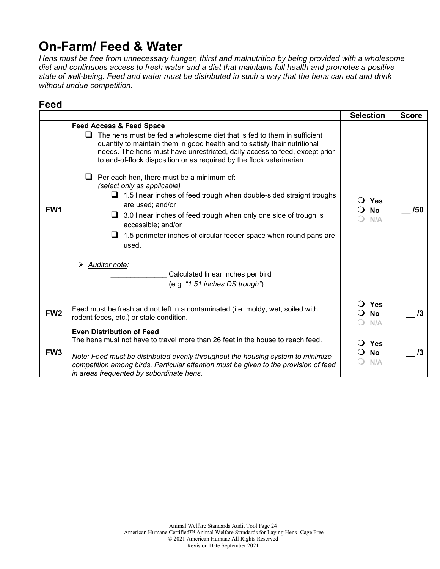## **On-Farm/ Feed & Water**

*Hens must be free from unnecessary hunger, thirst and malnutrition by being provided with a wholesome diet and continuous access to fresh water and a diet that maintains full health and promotes a positive state of well-being. Feed and water must be distributed in such a way that the hens can eat and drink without undue competition.* 

| Feed            |                                                                                                                                                                                                                                                                                                                                                                                                                                                                                                                                                                                                                                                                                                                                                                                                                          |                                          |              |
|-----------------|--------------------------------------------------------------------------------------------------------------------------------------------------------------------------------------------------------------------------------------------------------------------------------------------------------------------------------------------------------------------------------------------------------------------------------------------------------------------------------------------------------------------------------------------------------------------------------------------------------------------------------------------------------------------------------------------------------------------------------------------------------------------------------------------------------------------------|------------------------------------------|--------------|
|                 |                                                                                                                                                                                                                                                                                                                                                                                                                                                                                                                                                                                                                                                                                                                                                                                                                          | <b>Selection</b>                         | <b>Score</b> |
| FW <sub>1</sub> | <b>Feed Access &amp; Feed Space</b><br>The hens must be fed a wholesome diet that is fed to them in sufficient<br>ப<br>quantity to maintain them in good health and to satisfy their nutritional<br>needs. The hens must have unrestricted, daily access to feed, except prior<br>to end-of-flock disposition or as required by the flock veterinarian.<br>$\Box$ Per each hen, there must be a minimum of:<br>(select only as applicable)<br>$\Box$ 1.5 linear inches of feed trough when double-sided straight troughs<br>are used; and/or<br>$\Box$ 3.0 linear inches of feed trough when only one side of trough is<br>accessible; and/or<br>1.5 perimeter inches of circular feeder space when round pans are<br>u<br>used.<br>Auditor note:<br>Calculated linear inches per bird<br>(e.g. "1.51 inches DS trough") | Yes<br>$\Omega$<br><b>No</b><br>N/A      | /50          |
| FW <sub>2</sub> | Feed must be fresh and not left in a contaminated (i.e. moldy, wet, soiled with<br>rodent feces, etc.) or stale condition.                                                                                                                                                                                                                                                                                                                                                                                                                                                                                                                                                                                                                                                                                               | Yes<br>$\Omega$<br><b>No</b><br>Q<br>N/A | $\sqrt{3}$   |
| FW <sub>3</sub> | <b>Even Distribution of Feed</b><br>The hens must not have to travel more than 26 feet in the house to reach feed.<br>Note: Feed must be distributed evenly throughout the housing system to minimize<br>competition among birds. Particular attention must be given to the provision of feed<br>in areas frequented by subordinate hens.                                                                                                                                                                                                                                                                                                                                                                                                                                                                                | Yes<br><b>No</b><br>N/A                  | $\sqrt{3}$   |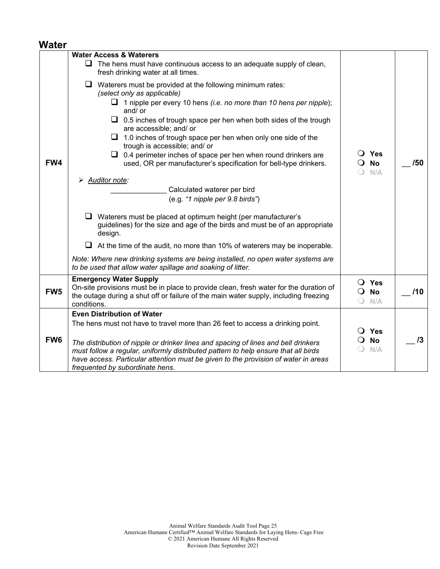#### **Water**

|                 | <b>Water Access &amp; Waterers</b>                                                                                                                                                                                                                                                                                                                                                                                                                                                                                                                                                                                                                   |                                                                  |     |
|-----------------|------------------------------------------------------------------------------------------------------------------------------------------------------------------------------------------------------------------------------------------------------------------------------------------------------------------------------------------------------------------------------------------------------------------------------------------------------------------------------------------------------------------------------------------------------------------------------------------------------------------------------------------------------|------------------------------------------------------------------|-----|
|                 | The hens must have continuous access to an adequate supply of clean,<br>fresh drinking water at all times.                                                                                                                                                                                                                                                                                                                                                                                                                                                                                                                                           |                                                                  |     |
| FW4             | $\Box$ Waterers must be provided at the following minimum rates:<br>(select only as applicable)<br>$\Box$ 1 nipple per every 10 hens <i>(i.e. no more than 10 hens per nipple</i> );<br>and/ or<br>$\Box$ 0.5 inches of trough space per hen when both sides of the trough<br>are accessible; and/ or<br>$\Box$ 1.0 inches of trough space per hen when only one side of the<br>trough is accessible; and/ or<br>$\Box$ 0.4 perimeter inches of space per hen when round drinkers are<br>used, OR per manufacturer's specification for bell-type drinkers.<br><b>Auditor note:</b><br>Calculated waterer per bird<br>(e.g. "1 nipple per 9.8 birds") | $\overline{O}$ Yes<br><b>No</b><br>$\Omega$<br>N/A               | /50 |
|                 | $\Box$ Waterers must be placed at optimum height (per manufacturer's<br>guidelines) for the size and age of the birds and must be of an appropriate<br>design.<br>$\Box$ At the time of the audit, no more than 10% of waterers may be inoperable.<br>Note: Where new drinking systems are being installed, no open water systems are<br>to be used that allow water spillage and soaking of litter.                                                                                                                                                                                                                                                 |                                                                  |     |
| FW <sub>5</sub> | <b>Emergency Water Supply</b><br>On-site provisions must be in place to provide clean, fresh water for the duration of<br>the outage during a shut off or failure of the main water supply, including freezing<br>conditions.                                                                                                                                                                                                                                                                                                                                                                                                                        | $\bigcirc$ Yes<br><b>No</b><br>$\mathbf{O}$<br>$\bigcirc$<br>N/A | /10 |
|                 | <b>Even Distribution of Water</b>                                                                                                                                                                                                                                                                                                                                                                                                                                                                                                                                                                                                                    |                                                                  |     |
| FW <sub>6</sub> | The hens must not have to travel more than 26 feet to access a drinking point.<br>The distribution of nipple or drinker lines and spacing of lines and bell drinkers<br>must follow a regular, uniformly distributed pattern to help ensure that all birds<br>have access. Particular attention must be given to the provision of water in areas<br>frequented by subordinate hens.                                                                                                                                                                                                                                                                  | $\bigcirc$ Yes<br><b>No</b><br>$\Omega$<br>N/A                   | 13  |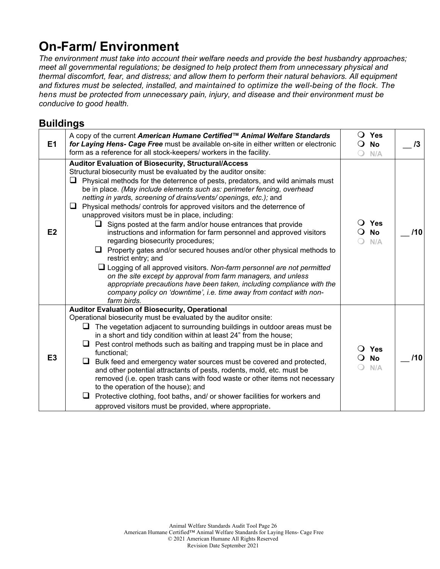## **On-Farm/ Environment**

*The environment must take into account their welfare needs and provide the best husbandry approaches; meet all governmental regulations; be designed to help protect them from unnecessary physical and thermal discomfort, fear, and distress; and allow them to perform their natural behaviors. All equipment and fixtures must be selected, installed, and maintained to optimize the well-being of the flock. The hens must be protected from unnecessary pain, injury, and disease and their environment must be conducive to good health.*

### **Buildings**

| E <sub>1</sub> | A copy of the current American Humane Certified™ Animal Welfare Standards<br>for Laying Hens- Cage Free must be available on-site in either written or electronic<br>form as a reference for all stock-keepers/ workers in the facility.                                                                                                                                                                                                                                                                                                                                                                                                                                                                                                                                                                                                                                                                                                                                                                                                                                                                            | $\Omega$<br>Yes<br><b>No</b><br>$\Omega$<br>N/A | /3  |
|----------------|---------------------------------------------------------------------------------------------------------------------------------------------------------------------------------------------------------------------------------------------------------------------------------------------------------------------------------------------------------------------------------------------------------------------------------------------------------------------------------------------------------------------------------------------------------------------------------------------------------------------------------------------------------------------------------------------------------------------------------------------------------------------------------------------------------------------------------------------------------------------------------------------------------------------------------------------------------------------------------------------------------------------------------------------------------------------------------------------------------------------|-------------------------------------------------|-----|
| E2             | Auditor Evaluation of Biosecurity, Structural/Access<br>Structural biosecurity must be evaluated by the auditor onsite:<br>$\Box$<br>Physical methods for the deterrence of pests, predators, and wild animals must<br>be in place. (May include elements such as: perimeter fencing, overhead<br>netting in yards, screening of drains/vents/ openings, etc.); and<br>Physical methods/controls for approved visitors and the deterrence of<br>⊔<br>unapproved visitors must be in place, including:<br>$\Box$ Signs posted at the farm and/or house entrances that provide<br>instructions and information for farm personnel and approved visitors<br>regarding biosecurity procedures;<br>$\Box$ Property gates and/or secured houses and/or other physical methods to<br>restrict entry; and<br>$\Box$ Logging of all approved visitors. Non-farm personnel are not permitted<br>on the site except by approval from farm managers, and unless<br>appropriate precautions have been taken, including compliance with the<br>company policy on 'downtime', i.e. time away from contact with non-<br>farm birds. | <b>Yes</b><br>$\Omega$<br><b>No</b><br>N/A      | 110 |
| E <sub>3</sub> | <b>Auditor Evaluation of Biosecurity, Operational</b><br>Operational biosecurity must be evaluated by the auditor onsite:<br>The vegetation adjacent to surrounding buildings in outdoor areas must be<br>in a short and tidy condition within at least 24" from the house;<br>Pest control methods such as baiting and trapping must be in place and<br>⊔<br>functional;<br>⊔<br>Bulk feed and emergency water sources must be covered and protected,<br>and other potential attractants of pests, rodents, mold, etc. must be<br>removed (i.e. open trash cans with food waste or other items not necessary<br>to the operation of the house); and<br>Protective clothing, foot baths, and/ or shower facilities for workers and<br>approved visitors must be provided, where appropriate.                                                                                                                                                                                                                                                                                                                        | <b>Yes</b><br><b>No</b><br>$\Omega$<br>N/A      | 110 |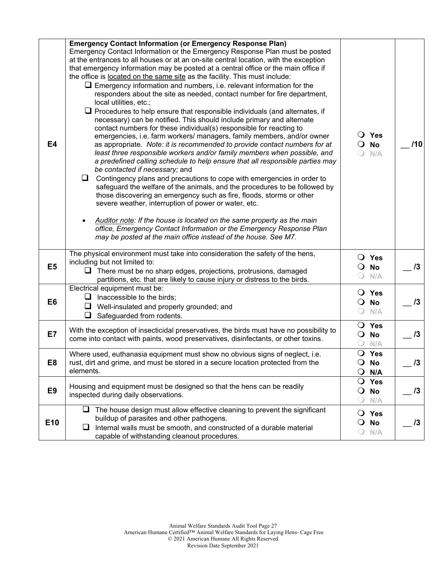| <b>E4</b>       | <b>Emergency Contact Information (or Emergency Response Plan)</b><br>Emergency Contact Information or the Emergency Response Plan must be posted<br>at the entrances to all houses or at an on-site central location, with the exception<br>that emergency information may be posted at a central office or the main office if<br>the office is located on the same site as the facility. This must include:<br>$\Box$ Emergency information and numbers, i.e. relevant information for the<br>responders about the site as needed, contact number for fire department,<br>local utilities, etc.;<br>$\Box$ Procedures to help ensure that responsible individuals (and alternates, if<br>necessary) can be notified. This should include primary and alternate<br>contact numbers for these individual(s) responsible for reacting to<br>emergencies, i.e. farm workers/ managers, family members, and/or owner<br>as appropriate. Note: it is recommended to provide contact numbers for at<br>least three responsible workers and/or family members when possible, and<br>a predefined calling schedule to help ensure that all responsible parties may<br>be contacted if necessary; and<br>⊔<br>Contingency plans and precautions to cope with emergencies in order to<br>safeguard the welfare of the animals, and the procedures to be followed by<br>those discovering an emergency such as fire, floods, storms or other<br>severe weather, interruption of power or water, etc.<br>Auditor note: If the house is located on the same property as the main<br>office, Emergency Contact Information or the Emergency Response Plan<br>may be posted at the main office instead of the house. See M7. | $\bigcirc$ Yes<br><b>No</b><br>$\cup$<br>N/A<br>$\bigcirc$       | 110        |
|-----------------|---------------------------------------------------------------------------------------------------------------------------------------------------------------------------------------------------------------------------------------------------------------------------------------------------------------------------------------------------------------------------------------------------------------------------------------------------------------------------------------------------------------------------------------------------------------------------------------------------------------------------------------------------------------------------------------------------------------------------------------------------------------------------------------------------------------------------------------------------------------------------------------------------------------------------------------------------------------------------------------------------------------------------------------------------------------------------------------------------------------------------------------------------------------------------------------------------------------------------------------------------------------------------------------------------------------------------------------------------------------------------------------------------------------------------------------------------------------------------------------------------------------------------------------------------------------------------------------------------------------------------------------------------------------------------------------------------------------|------------------------------------------------------------------|------------|
| E <sub>5</sub>  | The physical environment must take into consideration the safety of the hens,<br>including but not limited to:<br>$\Box$ There must be no sharp edges, projections, protrusions, damaged<br>partitions, etc. that are likely to cause injury or distress to the birds.                                                                                                                                                                                                                                                                                                                                                                                                                                                                                                                                                                                                                                                                                                                                                                                                                                                                                                                                                                                                                                                                                                                                                                                                                                                                                                                                                                                                                                        | O Yes<br>No<br>Ő<br>$\bigcirc$<br>N/A                            | 13         |
| E <sub>6</sub>  | Electrical equipment must be:<br>$\Box$ Inaccessible to the birds;<br>$\Box$ Well-insulated and properly grounded; and<br>$\Box$ Safeguarded from rodents.                                                                                                                                                                                                                                                                                                                                                                                                                                                                                                                                                                                                                                                                                                                                                                                                                                                                                                                                                                                                                                                                                                                                                                                                                                                                                                                                                                                                                                                                                                                                                    | $\bigcirc$ Yes<br><b>No</b><br>$\mathbf{O}$<br>$\bigcirc$<br>N/A | 13         |
| E7              | With the exception of insecticidal preservatives, the birds must have no possibility to<br>come into contact with paints, wood preservatives, disinfectants, or other toxins.                                                                                                                                                                                                                                                                                                                                                                                                                                                                                                                                                                                                                                                                                                                                                                                                                                                                                                                                                                                                                                                                                                                                                                                                                                                                                                                                                                                                                                                                                                                                 | O Yes<br><b>No</b><br>$\mathbf{O}$<br>N/A                        | 13         |
| E <sub>8</sub>  | Where used, euthanasia equipment must show no obvious signs of neglect, i.e.<br>rust, dirt and grime, and must be stored in a secure location protected from the<br>elements.                                                                                                                                                                                                                                                                                                                                                                                                                                                                                                                                                                                                                                                                                                                                                                                                                                                                                                                                                                                                                                                                                                                                                                                                                                                                                                                                                                                                                                                                                                                                 | O Yes<br><b>No</b><br>O<br>$\bigcirc$<br>N/A                     | 13         |
| E <sub>9</sub>  | Housing and equipment must be designed so that the hens can be readily<br>inspected during daily observations.                                                                                                                                                                                                                                                                                                                                                                                                                                                                                                                                                                                                                                                                                                                                                                                                                                                                                                                                                                                                                                                                                                                                                                                                                                                                                                                                                                                                                                                                                                                                                                                                | $\mathsf{O}$<br>Yes<br>$\mathsf{O}$<br><b>No</b><br>N/A          | 13         |
| E <sub>10</sub> | The house design must allow effective cleaning to prevent the significant<br>u.<br>buildup of parasites and other pathogens.<br>Internal walls must be smooth, and constructed of a durable material<br>⊔<br>capable of withstanding cleanout procedures.                                                                                                                                                                                                                                                                                                                                                                                                                                                                                                                                                                                                                                                                                                                                                                                                                                                                                                                                                                                                                                                                                                                                                                                                                                                                                                                                                                                                                                                     | O Yes<br>No<br>$\circ$<br>N/A<br>$\cup$                          | $\sqrt{3}$ |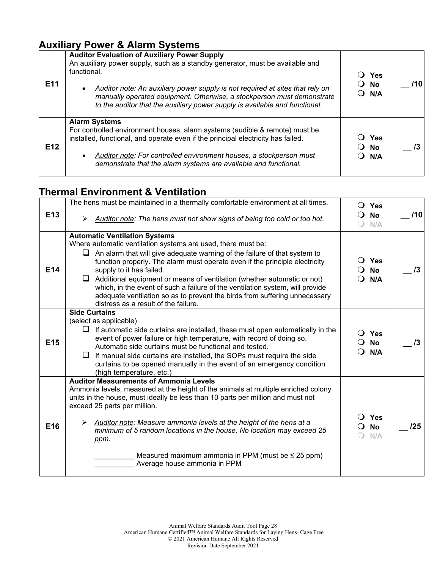### **Auxiliary Power & Alarm Systems**

| E <sub>11</sub> | <b>Auditor Evaluation of Auxiliary Power Supply</b><br>An auxiliary power supply, such as a standby generator, must be available and<br>functional.<br>Auditor note: An auxiliary power supply is not required at sites that rely on<br>manually operated equipment. Otherwise, a stockperson must demonstrate<br>to the auditor that the auxiliary power supply is available and functional. | Yes<br>$\bigcirc$ No<br>$\bigcirc$ N/A |  |
|-----------------|-----------------------------------------------------------------------------------------------------------------------------------------------------------------------------------------------------------------------------------------------------------------------------------------------------------------------------------------------------------------------------------------------|----------------------------------------|--|
| E <sub>12</sub> | <b>Alarm Systems</b><br>For controlled environment houses, alarm systems (audible & remote) must be<br>installed, functional, and operate even if the principal electricity has failed.<br>Auditor note: For controlled environment houses, a stockperson must<br>demonstrate that the alarm systems are available and functional.                                                            | Yes<br>$\bigcirc$ No<br>$\bigcirc$ N/A |  |

### **Thermal Environment & Ventilation**

|                 | The hens must be maintained in a thermally comfortable environment at all times.                                                                                                                                                                                                    |                              | $\bigcirc$ Yes                     |     |
|-----------------|-------------------------------------------------------------------------------------------------------------------------------------------------------------------------------------------------------------------------------------------------------------------------------------|------------------------------|------------------------------------|-----|
| E <sub>13</sub> | Auditor note: The hens must not show signs of being too cold or too hot.                                                                                                                                                                                                            | $\Omega$ No                  | N/A                                | /10 |
|                 | <b>Automatic Ventilation Systems</b>                                                                                                                                                                                                                                                |                              |                                    |     |
|                 | Where automatic ventilation systems are used, there must be:                                                                                                                                                                                                                        |                              |                                    |     |
| E14             | An alarm that will give adequate warning of the failure of that system to<br>function properly. The alarm must operate even if the principle electricity<br>supply to it has failed.                                                                                                | $\Omega$                     | ○ Yes<br><b>No</b>                 | /3  |
|                 | Additional equipment or means of ventilation (whether automatic or not)<br>⊔<br>which, in the event of such a failure of the ventilation system, will provide<br>adequate ventilation so as to prevent the birds from suffering unnecessary<br>distress as a result of the failure. |                              | $\bigcirc$ n/a                     |     |
|                 | <b>Side Curtains</b>                                                                                                                                                                                                                                                                |                              |                                    |     |
|                 | (select as applicable)                                                                                                                                                                                                                                                              |                              |                                    |     |
| E <sub>15</sub> | If automatic side curtains are installed, these must open automatically in the<br>⊔<br>event of power failure or high temperature, with record of doing so.<br>Automatic side curtains must be functional and tested.                                                               | $\ddot{\phantom{1}}$<br>○ No | Yes                                | /3  |
|                 | If manual side curtains are installed, the SOPs must require the side<br>curtains to be opened manually in the event of an emergency condition<br>(high temperature, etc.)                                                                                                          | 0                            | N/A                                |     |
|                 | <b>Auditor Measurements of Ammonia Levels</b>                                                                                                                                                                                                                                       |                              |                                    |     |
|                 | Ammonia levels, measured at the height of the animals at multiple enriched colony                                                                                                                                                                                                   |                              |                                    |     |
|                 | units in the house, must ideally be less than 10 parts per million and must not<br>exceed 25 parts per million.                                                                                                                                                                     |                              |                                    |     |
| E16             | Auditor note: Measure ammonia levels at the height of the hens at a<br>➤<br>minimum of 5 random locations in the house. No location may exceed 25<br>ppm.                                                                                                                           |                              | $\bigcirc$ Yes<br><b>No</b><br>N/A | /25 |
|                 | Measured maximum ammonia in PPM (must be $\leq$ 25 ppm)<br>Average house ammonia in PPM                                                                                                                                                                                             |                              |                                    |     |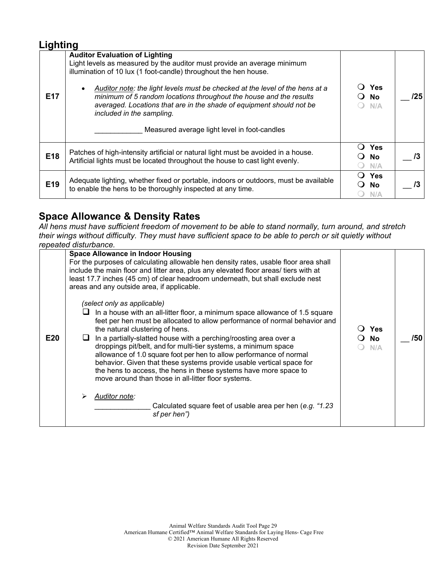#### **Lighting**

| <b>E17</b> | <b>Auditor Evaluation of Lighting</b><br>Light levels as measured by the auditor must provide an average minimum<br>illumination of 10 lux (1 foot-candle) throughout the hen house.<br>Auditor note: the light levels must be checked at the level of the hens at a<br>$\bullet$<br>minimum of 5 random locations throughout the house and the results<br>averaged. Locations that are in the shade of equipment should not be<br>included in the sampling.<br>Measured average light level in foot-candles | <b>Yes</b><br>No.<br>N/A       | /25 |
|------------|--------------------------------------------------------------------------------------------------------------------------------------------------------------------------------------------------------------------------------------------------------------------------------------------------------------------------------------------------------------------------------------------------------------------------------------------------------------------------------------------------------------|--------------------------------|-----|
| E18        | Patches of high-intensity artificial or natural light must be avoided in a house.<br>Artificial lights must be located throughout the house to cast light evenly.                                                                                                                                                                                                                                                                                                                                            | <b>Yes</b><br><b>No</b><br>N/A |     |
| E19        | Adequate lighting, whether fixed or portable, indoors or outdoors, must be available<br>to enable the hens to be thoroughly inspected at any time.                                                                                                                                                                                                                                                                                                                                                           | <b>Yes</b><br>No.<br>N/A       |     |

### **Space Allowance & Density Rates**

*All hens must have sufficient freedom of movement to be able to stand normally, turn around, and stretch their wings without difficulty. They must have sufficient space to be able to perch or sit quietly without repeated disturbance.*

|     | icpcalcu uisluibailuc.                                                                                                                                                                                                                                                                                                                                                                                                                                                                                                                                                                                                                                                                                                                       |                           |     |
|-----|----------------------------------------------------------------------------------------------------------------------------------------------------------------------------------------------------------------------------------------------------------------------------------------------------------------------------------------------------------------------------------------------------------------------------------------------------------------------------------------------------------------------------------------------------------------------------------------------------------------------------------------------------------------------------------------------------------------------------------------------|---------------------------|-----|
|     | <b>Space Allowance in Indoor Housing</b><br>For the purposes of calculating allowable hen density rates, usable floor area shall<br>include the main floor and litter area, plus any elevated floor areas/ tiers with at<br>least 17.7 inches (45 cm) of clear headroom underneath, but shall exclude nest<br>areas and any outside area, if applicable.                                                                                                                                                                                                                                                                                                                                                                                     |                           |     |
| E20 | (select only as applicable)<br>In a house with an all-litter floor, a minimum space allowance of 1.5 square<br>feet per hen must be allocated to allow performance of normal behavior and<br>the natural clustering of hens.<br>In a partially-slatted house with a perching/roosting area over a<br>droppings pit/belt, and for multi-tier systems, a minimum space<br>allowance of 1.0 square foot per hen to allow performance of normal<br>behavior. Given that these systems provide usable vertical space for<br>the hens to access, the hens in these systems have more space to<br>move around than those in all-litter floor systems.<br>Auditor note:<br>Calculated square feet of usable area per hen (e.g. "1.23<br>sf per hen") | ○ Yes<br><b>No</b><br>N/A | /50 |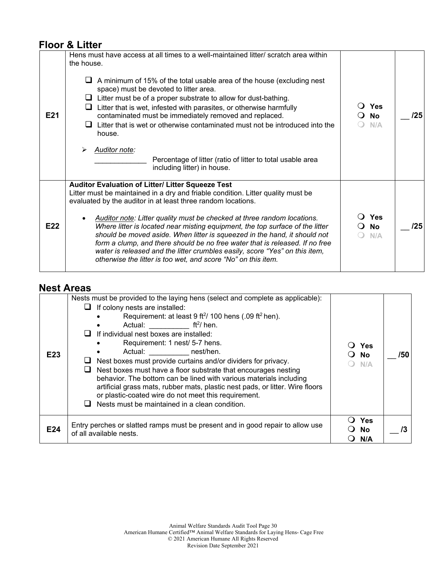### **Floor & Litter**

| E21 | Hens must have access at all times to a well-maintained litter/ scratch area within<br>the house.<br>A minimum of 15% of the total usable area of the house (excluding nest<br>space) must be devoted to litter area.<br>$\Box$ Litter must be of a proper substrate to allow for dust-bathing.<br>Litter that is wet, infested with parasites, or otherwise harmfully<br>⊔<br>contaminated must be immediately removed and replaced.<br>$\Box$ Litter that is wet or otherwise contaminated must not be introduced into the<br>house.<br><b>Auditor note:</b><br>Percentage of litter (ratio of litter to total usable area<br>including litter) in house.                    | <b>Yes</b><br><b>No</b><br>N/A | /25 |
|-----|--------------------------------------------------------------------------------------------------------------------------------------------------------------------------------------------------------------------------------------------------------------------------------------------------------------------------------------------------------------------------------------------------------------------------------------------------------------------------------------------------------------------------------------------------------------------------------------------------------------------------------------------------------------------------------|--------------------------------|-----|
| E22 | Auditor Evaluation of Litter/ Litter Squeeze Test<br>Litter must be maintained in a dry and friable condition. Litter quality must be<br>evaluated by the auditor in at least three random locations.<br>Auditor note: Litter quality must be checked at three random locations.<br>Where litter is located near misting equipment, the top surface of the litter<br>should be moved aside. When litter is squeezed in the hand, it should not<br>form a clump, and there should be no free water that is released. If no free<br>water is released and the litter crumbles easily, score "Yes" on this item,<br>otherwise the litter is too wet, and score "No" on this item. | <b>Yes</b><br><b>No</b><br>N/A | /25 |

### **Nest Areas**

| E <sub>23</sub> | Nests must be provided to the laying hens (select and complete as applicable):<br>If colony nests are installed:<br>Requirement: at least 9 ft <sup>2</sup> / 100 hens (.09 ft <sup>2</sup> hen).<br>Actual: $\mathsf{ft}^2$ hen.<br>If individual nest boxes are installed:<br>Requirement: 1 nest/ 5-7 hens.<br>Actual: nest/hen.<br>Nest boxes must provide curtains and/or dividers for privacy.<br>Nest boxes must have a floor substrate that encourages nesting<br>behavior. The bottom can be lined with various materials including<br>artificial grass mats, rubber mats, plastic nest pads, or litter. Wire floors<br>or plastic-coated wire do not meet this requirement.<br>Nests must be maintained in a clean condition. | Yes<br><b>No</b><br>N/A | /50 |
|-----------------|-----------------------------------------------------------------------------------------------------------------------------------------------------------------------------------------------------------------------------------------------------------------------------------------------------------------------------------------------------------------------------------------------------------------------------------------------------------------------------------------------------------------------------------------------------------------------------------------------------------------------------------------------------------------------------------------------------------------------------------------|-------------------------|-----|
| E24             | Entry perches or slatted ramps must be present and in good repair to allow use<br>of all available nests.                                                                                                                                                                                                                                                                                                                                                                                                                                                                                                                                                                                                                               | Yes<br><b>No</b><br>N/A |     |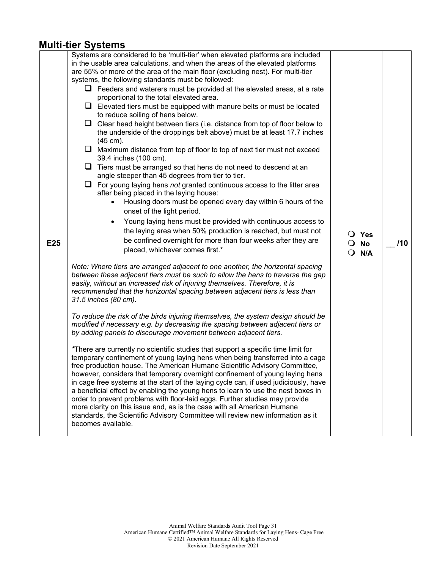#### **Multi-tier Systems**

| E25 | Systems are considered to be 'multi-tier' when elevated platforms are included<br>in the usable area calculations, and when the areas of the elevated platforms<br>are 55% or more of the area of the main floor (excluding nest). For multi-tier<br>systems, the following standards must be followed:<br>$\Box$ Feeders and waterers must be provided at the elevated areas, at a rate<br>proportional to the total elevated area.<br>$\Box$ Elevated tiers must be equipped with manure belts or must be located<br>to reduce soiling of hens below.<br>$\Box$ Clear head height between tiers (i.e. distance from top of floor below to<br>the underside of the droppings belt above) must be at least 17.7 inches<br>$(45 \text{ cm}).$<br>$\Box$ Maximum distance from top of floor to top of next tier must not exceed<br>39.4 inches (100 cm).<br>$\Box$ Tiers must be arranged so that hens do not need to descend at an<br>angle steeper than 45 degrees from tier to tier.<br>$\Box$ For young laying hens not granted continuous access to the litter area<br>after being placed in the laying house:<br>Housing doors must be opened every day within 6 hours of the<br>onset of the light period.<br>Young laying hens must be provided with continuous access to<br>the laying area when 50% production is reached, but must not<br>be confined overnight for more than four weeks after they are<br>placed, whichever comes first.*<br>Note: Where tiers are arranged adjacent to one another, the horizontal spacing<br>between these adjacent tiers must be such to allow the hens to traverse the gap<br>easily, without an increased risk of injuring themselves. Therefore, it is<br>recommended that the horizontal spacing between adjacent tiers is less than<br>31.5 inches (80 cm).<br>To reduce the risk of the birds injuring themselves, the system design should be<br>modified if necessary e.g. by decreasing the spacing between adjacent tiers or<br>by adding panels to discourage movement between adjacent tiers.<br>*There are currently no scientific studies that support a specific time limit for<br>temporary confinement of young laying hens when being transferred into a cage<br>free production house. The American Humane Scientific Advisory Committee,<br>however, considers that temporary overnight confinement of young laying hens<br>in cage free systems at the start of the laying cycle can, if used judiciously, have<br>a beneficial effect by enabling the young hens to learn to use the nest boxes in<br>order to prevent problems with floor-laid eggs. Further studies may provide<br>more clarity on this issue and, as is the case with all American Humane | $\bigcirc$ Yes<br>$\overline{O}$ No<br>$\Omega$<br>N/A | /10 |
|-----|---------------------------------------------------------------------------------------------------------------------------------------------------------------------------------------------------------------------------------------------------------------------------------------------------------------------------------------------------------------------------------------------------------------------------------------------------------------------------------------------------------------------------------------------------------------------------------------------------------------------------------------------------------------------------------------------------------------------------------------------------------------------------------------------------------------------------------------------------------------------------------------------------------------------------------------------------------------------------------------------------------------------------------------------------------------------------------------------------------------------------------------------------------------------------------------------------------------------------------------------------------------------------------------------------------------------------------------------------------------------------------------------------------------------------------------------------------------------------------------------------------------------------------------------------------------------------------------------------------------------------------------------------------------------------------------------------------------------------------------------------------------------------------------------------------------------------------------------------------------------------------------------------------------------------------------------------------------------------------------------------------------------------------------------------------------------------------------------------------------------------------------------------------------------------------------------------------------------------------------------------------------------------------------------------------------------------------------------------------------------------------------------------------------------------------------------------------------------------------------------------------------------------------------------------------------------------------------------------------------------------------------------------------------------------------------------------------------------------------|--------------------------------------------------------|-----|
|     | standards, the Scientific Advisory Committee will review new information as it<br>becomes available.                                                                                                                                                                                                                                                                                                                                                                                                                                                                                                                                                                                                                                                                                                                                                                                                                                                                                                                                                                                                                                                                                                                                                                                                                                                                                                                                                                                                                                                                                                                                                                                                                                                                                                                                                                                                                                                                                                                                                                                                                                                                                                                                                                                                                                                                                                                                                                                                                                                                                                                                                                                                                            |                                                        |     |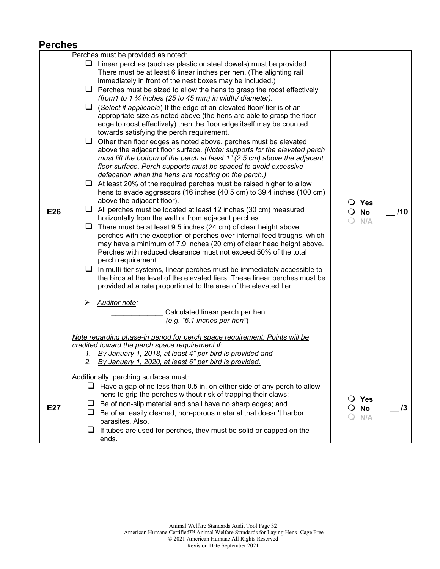#### **Perches**

|     | Perches must be provided as noted:                                                                                                                                                                                                                                                                                                                                                                                                                                                                                                                                                                                                                                                                                                                                                                                                                                                                                                                                                                                                                                                                                                                                                                                                                                                                                                                                                                                                                                                                                                                                                                                                                                                                                                                                                                                                                                                                                                                                                                                                                                                                                                                                                                                                                  |                                            |     |
|-----|-----------------------------------------------------------------------------------------------------------------------------------------------------------------------------------------------------------------------------------------------------------------------------------------------------------------------------------------------------------------------------------------------------------------------------------------------------------------------------------------------------------------------------------------------------------------------------------------------------------------------------------------------------------------------------------------------------------------------------------------------------------------------------------------------------------------------------------------------------------------------------------------------------------------------------------------------------------------------------------------------------------------------------------------------------------------------------------------------------------------------------------------------------------------------------------------------------------------------------------------------------------------------------------------------------------------------------------------------------------------------------------------------------------------------------------------------------------------------------------------------------------------------------------------------------------------------------------------------------------------------------------------------------------------------------------------------------------------------------------------------------------------------------------------------------------------------------------------------------------------------------------------------------------------------------------------------------------------------------------------------------------------------------------------------------------------------------------------------------------------------------------------------------------------------------------------------------------------------------------------------------|--------------------------------------------|-----|
| E26 | $\Box$ Linear perches (such as plastic or steel dowels) must be provided.<br>There must be at least 6 linear inches per hen. (The alighting rail<br>immediately in front of the nest boxes may be included.)<br>$\Box$ Perches must be sized to allow the hens to grasp the roost effectively<br>(from 1 to 1 $\frac{3}{4}$ inches (25 to 45 mm) in width/ diameter).<br>$\Box$ (Select if applicable) If the edge of an elevated floor/ tier is of an<br>appropriate size as noted above (the hens are able to grasp the floor<br>edge to roost effectively) then the floor edge itself may be counted<br>towards satisfying the perch requirement.<br>$\Box$ Other than floor edges as noted above, perches must be elevated<br>above the adjacent floor surface. (Note: supports for the elevated perch<br>must lift the bottom of the perch at least 1" (2.5 cm) above the adjacent<br>floor surface. Perch supports must be spaced to avoid excessive<br>defecation when the hens are roosting on the perch.)<br>$\Box$ At least 20% of the required perches must be raised higher to allow<br>hens to evade aggressors (16 inches (40.5 cm) to 39.4 inches (100 cm)<br>above the adjacent floor).<br>All perches must be located at least 12 inches (30 cm) measured<br>u.<br>horizontally from the wall or from adjacent perches.<br>$\Box$<br>There must be at least 9.5 inches (24 cm) of clear height above<br>perches with the exception of perches over internal feed troughs, which<br>may have a minimum of 7.9 inches (20 cm) of clear head height above.<br>Perches with reduced clearance must not exceed 50% of the total<br>perch requirement.<br>⊔<br>In multi-tier systems, linear perches must be immediately accessible to<br>the birds at the level of the elevated tiers. These linear perches must be<br>provided at a rate proportional to the area of the elevated tier.<br>Auditor note:<br>Calculated linear perch per hen<br>(e.g. '6.1 inches per hen')<br>Note regarding phase-in period for perch space requirement: Points will be<br>credited toward the perch space requirement if:<br>1. By January 1, 2018, at least 4" per bird is provided and<br>2. By January 1, 2020, at least 6" per bird is provided. | $\bigcirc$ Yes<br>$\overline{O}$ No<br>N/A | /10 |
| E27 | Additionally, perching surfaces must:<br>$\Box$ Have a gap of no less than 0.5 in. on either side of any perch to allow<br>hens to grip the perches without risk of trapping their claws;<br>Be of non-slip material and shall have no sharp edges; and<br>⊔<br>Be of an easily cleaned, non-porous material that doesn't harbor<br>ப<br>parasites. Also,<br>$\Box$ If tubes are used for perches, they must be solid or capped on the<br>ends.                                                                                                                                                                                                                                                                                                                                                                                                                                                                                                                                                                                                                                                                                                                                                                                                                                                                                                                                                                                                                                                                                                                                                                                                                                                                                                                                                                                                                                                                                                                                                                                                                                                                                                                                                                                                     | Yes<br>$\Omega$<br><b>No</b><br>N/A        | /3  |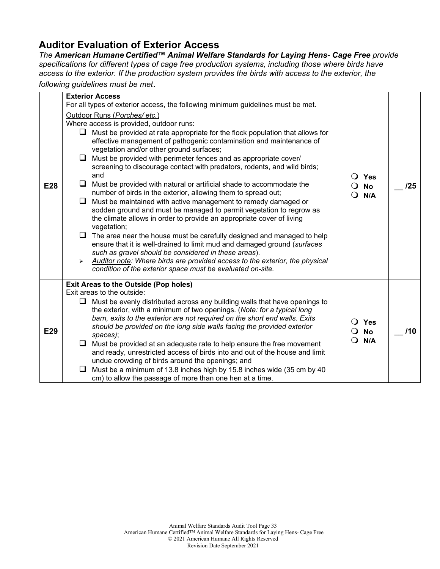### **Auditor Evaluation of Exterior Access**

*The American Humane Certified™ Animal Welfare Standards for Laying Hens- Cage Free provide specifications for different types of cage free production systems, including those where birds have access to the exterior. If the production system provides the birds with access to the exterior, the* 

*following guidelines must be met*.

|     |    | <b>Exterior Access</b>                                                                                                                                                                                                        |                |                      |     |
|-----|----|-------------------------------------------------------------------------------------------------------------------------------------------------------------------------------------------------------------------------------|----------------|----------------------|-----|
|     |    | For all types of exterior access, the following minimum guidelines must be met.                                                                                                                                               |                |                      |     |
|     |    | Outdoor Runs (Porches/etc.)                                                                                                                                                                                                   |                |                      |     |
|     |    | Where access is provided, outdoor runs:                                                                                                                                                                                       |                |                      |     |
|     | ⊔  | Must be provided at rate appropriate for the flock population that allows for<br>effective management of pathogenic contamination and maintenance of<br>vegetation and/or other ground surfaces;                              | $\bigcirc$ Yes |                      |     |
|     | ⊔  | Must be provided with perimeter fences and as appropriate cover/<br>screening to discourage contact with predators, rodents, and wild birds;<br>and                                                                           |                |                      |     |
| E28 | ⊔  | Must be provided with natural or artificial shade to accommodate the<br>number of birds in the exterior, allowing them to spread out;                                                                                         | 0              | <b>No</b><br>N/A     | /25 |
|     | Q. | Must be maintained with active management to remedy damaged or<br>sodden ground and must be managed to permit vegetation to regrow as<br>the climate allows in order to provide an appropriate cover of living<br>vegetation; |                |                      |     |
|     |    | $\Box$ The area near the house must be carefully designed and managed to help<br>ensure that it is well-drained to limit mud and damaged ground (surfaces<br>such as gravel should be considered in these areas).             |                |                      |     |
|     | ➤  | Auditor note: Where birds are provided access to the exterior, the physical<br>condition of the exterior space must be evaluated on-site.                                                                                     |                |                      |     |
|     |    | <b>Exit Areas to the Outside (Pop holes)</b>                                                                                                                                                                                  |                |                      |     |
|     |    | Exit areas to the outside:                                                                                                                                                                                                    |                |                      |     |
|     |    | $\Box$ Must be evenly distributed across any building walls that have openings to<br>the exterior, with a minimum of two openings. (Note: for a typical long                                                                  |                |                      |     |
| E29 |    | barn, exits to the exterior are not required on the short end walls. Exits<br>should be provided on the long side walls facing the provided exterior                                                                          | $\Omega$       | $\bigcirc$ Yes<br>No | /10 |
|     |    | spaces);                                                                                                                                                                                                                      |                |                      |     |
|     | u. | Must be provided at an adequate rate to help ensure the free movement<br>and ready, unrestricted access of birds into and out of the house and limit                                                                          | N/A            |                      |     |
|     |    | undue crowding of birds around the openings; and                                                                                                                                                                              |                |                      |     |
|     | ❏  | Must be a minimum of 13.8 inches high by 15.8 inches wide (35 cm by 40<br>cm) to allow the passage of more than one hen at a time.                                                                                            |                |                      |     |
|     |    |                                                                                                                                                                                                                               |                |                      |     |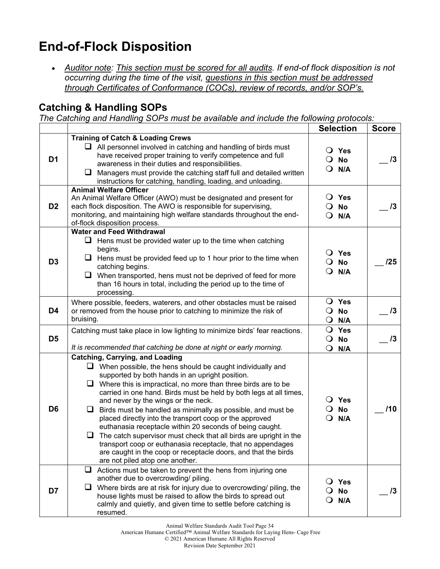## **End-of-Flock Disposition**

• Auditor note: This section must be scored for all audits. If end-of flock disposition is not *occurring during the time of the visit, questions in this section must be addressed through Certificates of Conformance (COCs), review of records, and/or SOP's.* 

### **Catching & Handling SOPs**

*The Catching and Handling SOPs must be available and include the following protocols:*

|                |                                                                                                                                                                                                                                                                                                                                                                                                                                                                                                                                                                                                                                                                                                                                                                                             | <b>Selection</b>                                                | <b>Score</b> |
|----------------|---------------------------------------------------------------------------------------------------------------------------------------------------------------------------------------------------------------------------------------------------------------------------------------------------------------------------------------------------------------------------------------------------------------------------------------------------------------------------------------------------------------------------------------------------------------------------------------------------------------------------------------------------------------------------------------------------------------------------------------------------------------------------------------------|-----------------------------------------------------------------|--------------|
| D1             | <b>Training of Catch &amp; Loading Crews</b><br>$\Box$ All personnel involved in catching and handling of birds must<br>have received proper training to verify competence and full<br>awareness in their duties and responsibilities.<br>$\Box$ Managers must provide the catching staff full and detailed written<br>instructions for catching, handling, loading, and unloading.                                                                                                                                                                                                                                                                                                                                                                                                         | $\bigcirc$ Yes<br><b>No</b><br>$\mathbf{O}$<br>N/A<br>$\Omega$  | 13           |
| D <sub>2</sub> | <b>Animal Welfare Officer</b><br>An Animal Welfare Officer (AWO) must be designated and present for<br>each flock disposition. The AWO is responsible for supervising,<br>monitoring, and maintaining high welfare standards throughout the end-<br>of-flock disposition process.                                                                                                                                                                                                                                                                                                                                                                                                                                                                                                           | Yes<br>$\cup$<br>$\overline{O}$ No<br>N/A<br>$\Omega$           | 13           |
| D <sub>3</sub> | <b>Water and Feed Withdrawal</b><br>$\Box$ Hens must be provided water up to the time when catching<br>begins.<br>$\Box$ Hens must be provided feed up to 1 hour prior to the time when<br>catching begins.<br>$\Box$ When transported, hens must not be deprived of feed for more<br>than 16 hours in total, including the period up to the time of<br>processing.                                                                                                                                                                                                                                                                                                                                                                                                                         | O Yes<br>$\mathbf{O}$<br>No<br>$\Omega$<br>N/A                  | 125          |
| D4             | Where possible, feeders, waterers, and other obstacles must be raised<br>or removed from the house prior to catching to minimize the risk of<br>bruising.                                                                                                                                                                                                                                                                                                                                                                                                                                                                                                                                                                                                                                   | O Yes<br><b>No</b><br>$\mathbf{O}$<br>$\mathbf{O}$<br>N/A       | 13           |
| D <sub>5</sub> | Catching must take place in low lighting to minimize birds' fear reactions.<br>It is recommended that catching be done at night or early morning.                                                                                                                                                                                                                                                                                                                                                                                                                                                                                                                                                                                                                                           | $\overline{O}$ Yes<br>$\mathbf{O}$<br>No<br>$\mathbf{O}$<br>N/A | 13           |
| D <sub>6</sub> | <b>Catching, Carrying, and Loading</b><br>$\Box$ When possible, the hens should be caught individually and<br>supported by both hands in an upright position.<br>$\Box$ Where this is impractical, no more than three birds are to be<br>carried in one hand. Birds must be held by both legs at all times,<br>and never by the wings or the neck.<br>Birds must be handled as minimally as possible, and must be<br>⊔<br>placed directly into the transport coop or the approved<br>euthanasia receptacle within 20 seconds of being caught.<br>The catch supervisor must check that all birds are upright in the<br>⊔<br>transport coop or euthanasia receptacle, that no appendages<br>are caught in the coop or receptacle doors, and that the birds<br>are not piled atop one another. | $\bigcirc$ Yes<br><b>No</b><br>$\cup$<br>N/A                    | 110          |
| D7             | ❏<br>Actions must be taken to prevent the hens from injuring one<br>another due to overcrowding/ piling.<br>Where birds are at risk for injury due to overcrowding/ piling, the<br>ப<br>house lights must be raised to allow the birds to spread out<br>calmly and quietly, and given time to settle before catching is<br>resumed.                                                                                                                                                                                                                                                                                                                                                                                                                                                         | Yes<br><b>No</b><br>N/A                                         | 13           |

Animal Welfare Standards Audit Tool Page 34

American Humane Certified™ Animal Welfare Standards for Laying Hens- Cage Free

© 2021 American Humane All Rights Reserved

Revision Date September 2021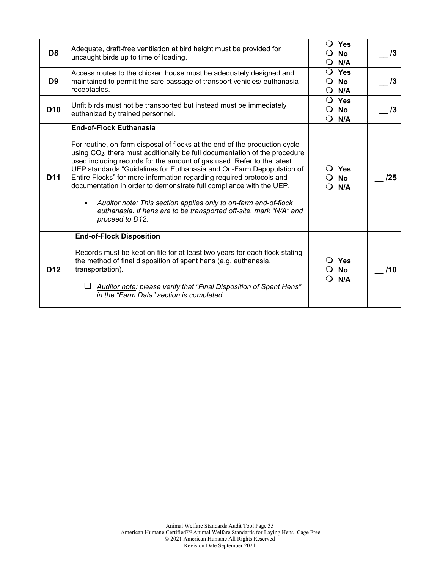| D <sub>8</sub><br>D <sub>9</sub> | Adequate, draft-free ventilation at bird height must be provided for<br>uncaught birds up to time of loading.<br>Access routes to the chicken house must be adequately designed and<br>maintained to permit the safe passage of transport vehicles/ euthanasia                                                                                                                                                                                                                                                                                                                                                                                                      | $\Omega$<br>$\blacksquare$<br>$\Omega$ | <b>Yes</b><br><b>No</b><br>N/A<br>$\overline{O}$ Yes<br><b>No</b> | $\sqrt{3}$<br>13 |
|----------------------------------|---------------------------------------------------------------------------------------------------------------------------------------------------------------------------------------------------------------------------------------------------------------------------------------------------------------------------------------------------------------------------------------------------------------------------------------------------------------------------------------------------------------------------------------------------------------------------------------------------------------------------------------------------------------------|----------------------------------------|-------------------------------------------------------------------|------------------|
|                                  | receptacles.                                                                                                                                                                                                                                                                                                                                                                                                                                                                                                                                                                                                                                                        | $\Omega$                               | N/A                                                               |                  |
| D <sub>10</sub>                  | Unfit birds must not be transported but instead must be immediately<br>euthanized by trained personnel.                                                                                                                                                                                                                                                                                                                                                                                                                                                                                                                                                             | $\Omega$<br>$\Omega$                   | $\bigcirc$ Yes<br><b>No</b><br>N/A                                | $\sqrt{3}$       |
| D <sub>11</sub>                  | <b>End-of-Flock Euthanasia</b><br>For routine, on-farm disposal of flocks at the end of the production cycle<br>using CO <sub>2</sub> , there must additionally be full documentation of the procedure<br>used including records for the amount of gas used. Refer to the latest<br>UEP standards "Guidelines for Euthanasia and On-Farm Depopulation of<br>Entire Flocks" for more information regarding required protocols and<br>documentation in order to demonstrate full compliance with the UEP.<br>Auditor note: This section applies only to on-farm end-of-flock<br>euthanasia. If hens are to be transported off-site, mark "N/A" and<br>proceed to D12. |                                        | $\bigcirc$ Yes<br><b>No</b><br>N/A                                | /25              |
| D <sub>12</sub>                  | <b>End-of-Flock Disposition</b><br>Records must be kept on file for at least two years for each flock stating<br>the method of final disposition of spent hens (e.g. euthanasia,<br>transportation).<br>$\Box$ Auditor note: please verify that "Final Disposition of Spent Hens"<br>in the "Farm Data" section is completed.                                                                                                                                                                                                                                                                                                                                       |                                        | Yes<br><b>No</b><br>N/A                                           | 110              |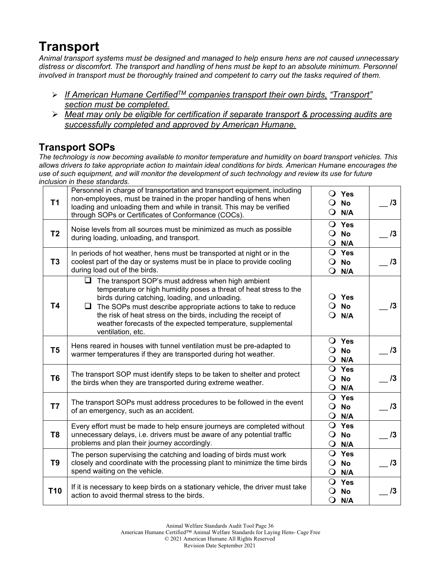## **Transport**

*Animal transport systems must be designed and managed to help ensure hens are not caused unnecessary distress or discomfort. The transport and handling of hens must be kept to an absolute minimum. Personnel involved in transport must be thoroughly trained and competent to carry out the tasks required of them.* 

- *If American Humane CertifiedTM companies transport their own birds, "Transport" section must be completed.*
- *Meat may only be eligible for certification if separate transport & processing audits are successfully completed and approved by American Humane.*

### **Transport SOPs**

*The technology is now becoming available to monitor temperature and humidity on board transport vehicles. This allows drivers to take appropriate action to maintain ideal conditions for birds. American Humane encourages the use of such equipment, and will monitor the development of such technology and review its use for future inclusion in these standards.* 

| T1              | Personnel in charge of transportation and transport equipment, including<br>non-employees, must be trained in the proper handling of hens when<br>loading and unloading them and while in transit. This may be verified<br>through SOPs or Certificates of Conformance (COCs).                                                                                                                                  | $\circ$  | $\bigcirc$ Yes<br>$\bigcirc$ No<br>N/A             | 13 |
|-----------------|-----------------------------------------------------------------------------------------------------------------------------------------------------------------------------------------------------------------------------------------------------------------------------------------------------------------------------------------------------------------------------------------------------------------|----------|----------------------------------------------------|----|
| T <sub>2</sub>  | Noise levels from all sources must be minimized as much as possible<br>during loading, unloading, and transport.                                                                                                                                                                                                                                                                                                | $\circ$  | $\overline{O}$ Yes<br><b>No</b><br>$Q$ N/A         | 13 |
| T <sub>3</sub>  | In periods of hot weather, hens must be transported at night or in the<br>coolest part of the day or systems must be in place to provide cooling<br>during load out of the birds.                                                                                                                                                                                                                               |          | $\bigcirc$ Yes<br>$\overline{O}$ No<br>$Q$ N/A     | 13 |
| <b>T4</b>       | $\Box$<br>The transport SOP's must address when high ambient<br>temperature or high humidity poses a threat of heat stress to the<br>birds during catching, loading, and unloading.<br>❏.<br>The SOPs must describe appropriate actions to take to reduce<br>the risk of heat stress on the birds, including the receipt of<br>weather forecasts of the expected temperature, supplemental<br>ventilation, etc. | $\Omega$ | $\bigcirc$ Yes<br>$\overline{O}$ No<br>N/A         | 13 |
| T <sub>5</sub>  | Hens reared in houses with tunnel ventilation must be pre-adapted to<br>warmer temperatures if they are transported during hot weather.                                                                                                                                                                                                                                                                         |          | $\overline{O}$ Yes<br>$\overline{O}$ No<br>$Q$ N/A | 13 |
| T <sub>6</sub>  | The transport SOP must identify steps to be taken to shelter and protect<br>the birds when they are transported during extreme weather.                                                                                                                                                                                                                                                                         |          | $\bigcirc$ Yes<br>$\overline{O}$ No<br>$Q$ N/A     | 13 |
| T7              | The transport SOPs must address procedures to be followed in the event<br>of an emergency, such as an accident.                                                                                                                                                                                                                                                                                                 |          | $\bigcirc$ Yes<br>$\overline{O}$ No<br>$Q$ N/A     | 13 |
| T <sub>8</sub>  | Every effort must be made to help ensure journeys are completed without<br>unnecessary delays, i.e. drivers must be aware of any potential traffic<br>problems and plan their journey accordingly.                                                                                                                                                                                                              |          | $\overline{O}$ Yes<br>$\overline{O}$ No<br>$Q$ N/A | 13 |
| T <sub>9</sub>  | The person supervising the catching and loading of birds must work<br>closely and coordinate with the processing plant to minimize the time birds<br>spend waiting on the vehicle.                                                                                                                                                                                                                              |          | $\bigcirc$ Yes<br>$\overline{O}$ No<br>$Q$ N/A     | 13 |
| T <sub>10</sub> | If it is necessary to keep birds on a stationary vehicle, the driver must take<br>action to avoid thermal stress to the birds.                                                                                                                                                                                                                                                                                  |          | $\bigcirc$ Yes<br>$\overline{O}$ No<br>$Q$ N/A     | 13 |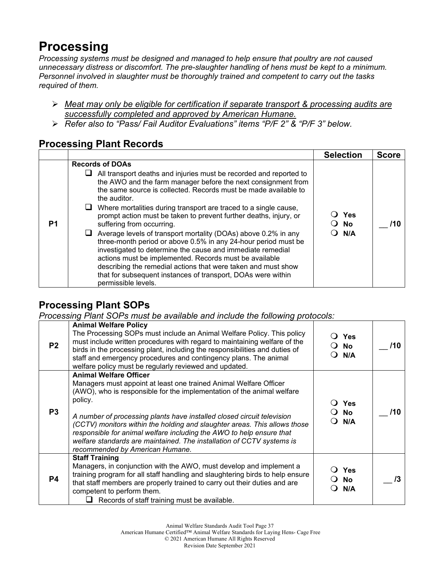## **Processing**

*Processing systems must be designed and managed to help ensure that poultry are not caused unnecessary distress or discomfort. The pre-slaughter handling of hens must be kept to a minimum. Personnel involved in slaughter must be thoroughly trained and competent to carry out the tasks required of them.*

- *Meat may only be eligible for certification if separate transport & processing audits are successfully completed and approved by American Humane.*
- *Refer also to "Pass/ Fail Auditor Evaluations" items "P/F 2" & "P/F 3" below.*

#### **Processing Plant Records**

|    |                                                                                                                                                                                                                                                                                                                                                                                                                                                                                                                                                                                                                                                                                                                                                                                                                                                 | <b>Selection</b>   | <b>Score</b> |
|----|-------------------------------------------------------------------------------------------------------------------------------------------------------------------------------------------------------------------------------------------------------------------------------------------------------------------------------------------------------------------------------------------------------------------------------------------------------------------------------------------------------------------------------------------------------------------------------------------------------------------------------------------------------------------------------------------------------------------------------------------------------------------------------------------------------------------------------------------------|--------------------|--------------|
| P1 | <b>Records of DOAs</b><br>All transport deaths and injuries must be recorded and reported to<br>ப<br>the AWO and the farm manager before the next consignment from<br>the same source is collected. Records must be made available to<br>the auditor.<br>Where mortalities during transport are traced to a single cause,<br>prompt action must be taken to prevent further deaths, injury, or<br>suffering from occurring.<br>Average levels of transport mortality (DOAs) above 0.2% in any<br>three-month period or above 0.5% in any 24-hour period must be<br>investigated to determine the cause and immediate remedial<br>actions must be implemented. Records must be available<br>describing the remedial actions that were taken and must show<br>that for subsequent instances of transport, DOAs were within<br>permissible levels. | Yes<br>O No<br>N/A | 71 O         |

### **Processing Plant SOPs**

*Processing Plant SOPs must be available and include the following protocols:*

| P <sub>2</sub> | <b>Animal Welfare Policy</b><br>The Processing SOPs must include an Animal Welfare Policy. This policy<br>must include written procedures with regard to maintaining welfare of the<br>birds in the processing plant, including the responsibilities and duties of<br>staff and emergency procedures and contingency plans. The animal<br>welfare policy must be regularly reviewed and updated.                                                                                                                                   |               | Yes<br><b>No</b><br>N/A  | /10 |
|----------------|------------------------------------------------------------------------------------------------------------------------------------------------------------------------------------------------------------------------------------------------------------------------------------------------------------------------------------------------------------------------------------------------------------------------------------------------------------------------------------------------------------------------------------|---------------|--------------------------|-----|
| P <sub>3</sub> | <b>Animal Welfare Officer</b><br>Managers must appoint at least one trained Animal Welfare Officer<br>(AWO), who is responsible for the implementation of the animal welfare<br>policy.<br>A number of processing plants have installed closed circuit television<br>(CCTV) monitors within the holding and slaughter areas. This allows those<br>responsible for animal welfare including the AWO to help ensure that<br>welfare standards are maintained. The installation of CCTV systems is<br>recommended by American Humane. |               | <b>Yes</b><br>No.<br>N/A | /10 |
| P4             | <b>Staff Training</b><br>Managers, in conjunction with the AWO, must develop and implement a<br>training program for all staff handling and slaughtering birds to help ensure<br>that staff members are properly trained to carry out their duties and are<br>competent to perform them.<br>Records of staff training must be available.                                                                                                                                                                                           | $\rightarrow$ | <b>Yes</b><br>No<br>N/A  |     |

American Humane Certified™ Animal Welfare Standards for Laying Hens- Cage Free

© 2021 American Humane All Rights Reserved

Revision Date September 2021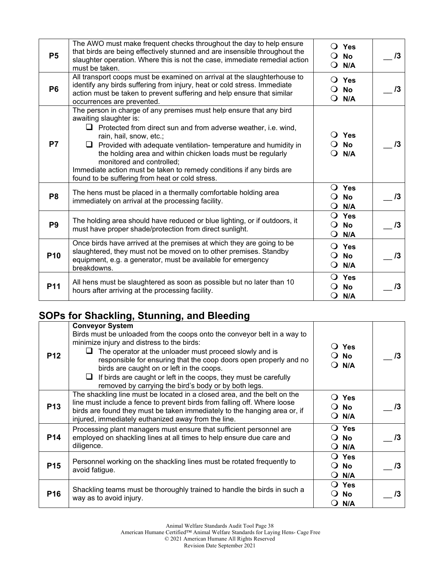| <b>P5</b>       | The AWO must make frequent checks throughout the day to help ensure<br>that birds are being effectively stunned and are insensible throughout the<br>slaughter operation. Where this is not the case, immediate remedial action<br>must be taken.                                                                                                                                                                                                                                                  | $\Omega$                             | $\bigcirc$ Yes<br>No<br>$\bigcirc$ N/A        | $\sqrt{3}$ |
|-----------------|----------------------------------------------------------------------------------------------------------------------------------------------------------------------------------------------------------------------------------------------------------------------------------------------------------------------------------------------------------------------------------------------------------------------------------------------------------------------------------------------------|--------------------------------------|-----------------------------------------------|------------|
| <b>P6</b>       | All transport coops must be examined on arrival at the slaughterhouse to<br>identify any birds suffering from injury, heat or cold stress. Immediate<br>action must be taken to prevent suffering and help ensure that similar<br>occurrences are prevented.                                                                                                                                                                                                                                       | $\Omega$                             | $\overline{O}$ Yes<br>$\bigcirc$ No<br>N/A    | 13         |
| <b>P7</b>       | The person in charge of any premises must help ensure that any bird<br>awaiting slaughter is:<br>$\Box$ Protected from direct sun and from adverse weather, i.e. wind,<br>rain, hail, snow, etc.;<br>$\Box$ Provided with adequate ventilation- temperature and humidity in<br>the holding area and within chicken loads must be regularly<br>monitored and controlled;<br>Immediate action must be taken to remedy conditions if any birds are<br>found to be suffering from heat or cold stress. | $\Omega$                             | $\bigcirc$ Yes<br><b>No</b><br>$\bigcirc$ N/A | /3         |
| P <sub>8</sub>  | The hens must be placed in a thermally comfortable holding area<br>immediately on arrival at the processing facility.                                                                                                                                                                                                                                                                                                                                                                              | $\Omega$<br>Ő                        | $\bigcirc$ Yes<br>No<br>N/A                   | $\sqrt{3}$ |
| P <sub>9</sub>  | The holding area should have reduced or blue lighting, or if outdoors, it<br>must have proper shade/protection from direct sunlight.                                                                                                                                                                                                                                                                                                                                                               | Q<br>$\Omega$<br>O                   | Yes<br><b>No</b><br>N/A                       | $\sqrt{3}$ |
| P <sub>10</sub> | Once birds have arrived at the premises at which they are going to be<br>slaughtered, they must not be moved on to other premises. Standby<br>equipment, e.g. a generator, must be available for emergency<br>breakdowns.                                                                                                                                                                                                                                                                          | $\Omega$<br>$\Omega$<br>$\mathbf{O}$ | Yes<br><b>No</b><br>N/A                       | 13         |
| P11             | All hens must be slaughtered as soon as possible but no later than 10<br>hours after arriving at the processing facility.                                                                                                                                                                                                                                                                                                                                                                          | O                                    | $\bigcirc$ Yes<br><b>No</b><br>N/A            | 13         |

## **SOPs for Shackling, Stunning, and Bleeding**

| <b>P12</b>      | <b>Conveyor System</b><br>Birds must be unloaded from the coops onto the conveyor belt in a way to<br>minimize injury and distress to the birds:<br>The operator at the unloader must proceed slowly and is<br>responsible for ensuring that the coop doors open properly and no<br>birds are caught on or left in the coops.<br>If birds are caught or left in the coops, they must be carefully<br>⊔<br>removed by carrying the bird's body or by both legs. | $\bigcirc$ Yes<br>No.<br>N/A                          | /3 |
|-----------------|----------------------------------------------------------------------------------------------------------------------------------------------------------------------------------------------------------------------------------------------------------------------------------------------------------------------------------------------------------------------------------------------------------------------------------------------------------------|-------------------------------------------------------|----|
| <b>P13</b>      | The shackling line must be located in a closed area, and the belt on the<br>line must include a fence to prevent birds from falling off. Where loose<br>birds are found they must be taken immediately to the hanging area or, if<br>injured, immediately euthanized away from the line.                                                                                                                                                                       | Yes<br>$\blacksquare$<br>No<br>N/A<br>$\blacksquare$  | /3 |
| <b>P14</b>      | Processing plant managers must ensure that sufficient personnel are<br>employed on shackling lines at all times to help ensure due care and<br>diligence.                                                                                                                                                                                                                                                                                                      | ◯ Yes<br><b>No</b><br>$\blacksquare$<br>N/A<br>$\cup$ | /3 |
| <b>P15</b>      | Personnel working on the shackling lines must be rotated frequently to<br>avoid fatigue.                                                                                                                                                                                                                                                                                                                                                                       | ◯ Yes<br><b>No</b><br>$\Omega$<br>N/A<br>$\cup$       | /3 |
| P <sub>16</sub> | Shackling teams must be thoroughly trained to handle the birds in such a<br>way as to avoid injury.                                                                                                                                                                                                                                                                                                                                                            | $\bigcirc$ Yes<br><b>No</b><br>N/A                    |    |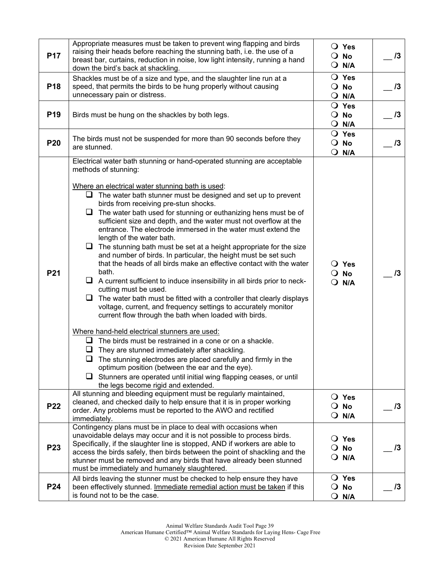| <b>P17</b>      | Appropriate measures must be taken to prevent wing flapping and birds<br>raising their heads before reaching the stunning bath, i.e. the use of a<br>breast bar, curtains, reduction in noise, low light intensity, running a hand<br>down the bird's back at shackling.                                                                                                                                                                                                                                                                                                                                                                                                                                                                                                                                                                                                                                                                                                                                                                                                                                                                                                                                                                                                                                                                                                                                                                                                                       | $\bigcirc$ Yes<br>$\overline{O}$ No<br>$Q$ N/A        | 13         |
|-----------------|------------------------------------------------------------------------------------------------------------------------------------------------------------------------------------------------------------------------------------------------------------------------------------------------------------------------------------------------------------------------------------------------------------------------------------------------------------------------------------------------------------------------------------------------------------------------------------------------------------------------------------------------------------------------------------------------------------------------------------------------------------------------------------------------------------------------------------------------------------------------------------------------------------------------------------------------------------------------------------------------------------------------------------------------------------------------------------------------------------------------------------------------------------------------------------------------------------------------------------------------------------------------------------------------------------------------------------------------------------------------------------------------------------------------------------------------------------------------------------------------|-------------------------------------------------------|------------|
| P <sub>18</sub> | Shackles must be of a size and type, and the slaughter line run at a<br>speed, that permits the birds to be hung properly without causing<br>unnecessary pain or distress.                                                                                                                                                                                                                                                                                                                                                                                                                                                                                                                                                                                                                                                                                                                                                                                                                                                                                                                                                                                                                                                                                                                                                                                                                                                                                                                     | O Yes<br>$\overline{O}$ No<br>$Q$ N/A                 | 13         |
| P <sub>19</sub> | Birds must be hung on the shackles by both legs.                                                                                                                                                                                                                                                                                                                                                                                                                                                                                                                                                                                                                                                                                                                                                                                                                                                                                                                                                                                                                                                                                                                                                                                                                                                                                                                                                                                                                                               | $\bigcirc$ Yes<br>$\overline{O}$ No<br>$O$ N/A        | 13         |
| <b>P20</b>      | The birds must not be suspended for more than 90 seconds before they<br>are stunned.                                                                                                                                                                                                                                                                                                                                                                                                                                                                                                                                                                                                                                                                                                                                                                                                                                                                                                                                                                                                                                                                                                                                                                                                                                                                                                                                                                                                           | $\bigcirc$ Yes<br>$\overline{O}$ No<br>$\bigcirc$ N/A | 13         |
| P <sub>21</sub> | Electrical water bath stunning or hand-operated stunning are acceptable<br>methods of stunning:<br>Where an electrical water stunning bath is used:<br>$\Box$ The water bath stunner must be designed and set up to prevent<br>birds from receiving pre-stun shocks.<br>$\Box$ The water bath used for stunning or euthanizing hens must be of<br>sufficient size and depth, and the water must not overflow at the<br>entrance. The electrode immersed in the water must extend the<br>length of the water bath.<br>$\Box$ The stunning bath must be set at a height appropriate for the size<br>and number of birds. In particular, the height must be set such<br>that the heads of all birds make an effective contact with the water<br>bath.<br>$\Box$ A current sufficient to induce insensibility in all birds prior to neck-<br>cutting must be used.<br>$\Box$<br>The water bath must be fitted with a controller that clearly displays<br>voltage, current, and frequency settings to accurately monitor<br>current flow through the bath when loaded with birds.<br>Where hand-held electrical stunners are used:<br>$\Box$ The birds must be restrained in a cone or on a shackle.<br>They are stunned immediately after shackling.<br>The stunning electrodes are placed carefully and firmly in the<br>ப<br>optimum position (between the ear and the eye).<br>$\Box$ Stunners are operated until initial wing flapping ceases, or until<br>the legs become rigid and extended. | $\bigcirc$ Yes<br>$\overline{O}$ No<br>$O$ N/A        | 13         |
| <b>P22</b>      | All stunning and bleeding equipment must be regularly maintained,<br>cleaned, and checked daily to help ensure that it is in proper working<br>order. Any problems must be reported to the AWO and rectified<br>immediately.                                                                                                                                                                                                                                                                                                                                                                                                                                                                                                                                                                                                                                                                                                                                                                                                                                                                                                                                                                                                                                                                                                                                                                                                                                                                   | $\bigcirc$ Yes<br>$\overline{O}$ No<br>$\bigcirc$ N/A | $\sqrt{3}$ |
| P <sub>23</sub> | Contingency plans must be in place to deal with occasions when<br>unavoidable delays may occur and it is not possible to process birds.<br>Specifically, if the slaughter line is stopped, AND if workers are able to<br>access the birds safely, then birds between the point of shackling and the<br>stunner must be removed and any birds that have already been stunned<br>must be immediately and humanely slaughtered.                                                                                                                                                                                                                                                                                                                                                                                                                                                                                                                                                                                                                                                                                                                                                                                                                                                                                                                                                                                                                                                                   | $\bigcirc$ Yes<br>$\overline{O}$ No<br>$\bigcirc$ N/A | 13         |
| P24             | All birds leaving the stunner must be checked to help ensure they have<br>been effectively stunned. Immediate remedial action must be taken if this<br>is found not to be the case.                                                                                                                                                                                                                                                                                                                                                                                                                                                                                                                                                                                                                                                                                                                                                                                                                                                                                                                                                                                                                                                                                                                                                                                                                                                                                                            | $\bigcirc$ Yes<br>$\overline{O}$ No<br>$\bigcirc$ N/A | 13         |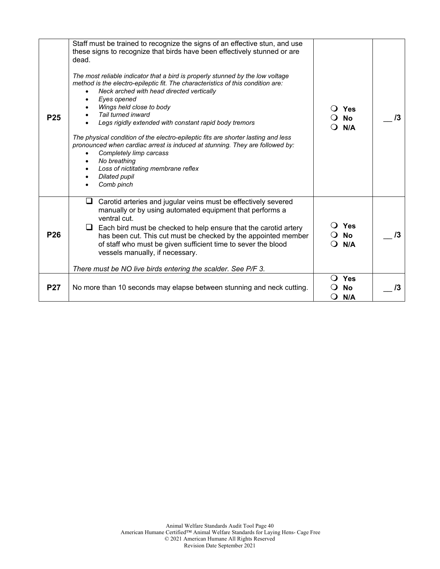| P <sub>25</sub> | Staff must be trained to recognize the signs of an effective stun, and use<br>these signs to recognize that birds have been effectively stunned or are<br>dead.<br>The most reliable indicator that a bird is properly stunned by the low voltage<br>method is the electro-epileptic fit. The characteristics of this condition are:<br>Neck arched with head directed vertically<br>Eyes opened<br>$\bullet$<br>Wings held close to body<br>Tail turned inward<br>Legs rigidly extended with constant rapid body tremors |          | Yes<br><b>No</b>        | /3 |
|-----------------|---------------------------------------------------------------------------------------------------------------------------------------------------------------------------------------------------------------------------------------------------------------------------------------------------------------------------------------------------------------------------------------------------------------------------------------------------------------------------------------------------------------------------|----------|-------------------------|----|
|                 | The physical condition of the electro-epileptic fits are shorter lasting and less<br>pronounced when cardiac arrest is induced at stunning. They are followed by:<br>Completely limp carcass<br>No breathing<br>Loss of nictitating membrane reflex<br><b>Dilated pupil</b><br>Comb pinch                                                                                                                                                                                                                                 | N/A      |                         |    |
| P <sub>26</sub> | Carotid arteries and jugular veins must be effectively severed<br>⊔<br>manually or by using automated equipment that performs a<br>ventral cut.<br>Each bird must be checked to help ensure that the carotid artery<br>⊔<br>has been cut. This cut must be checked by the appointed member<br>of staff who must be given sufficient time to sever the blood<br>vessels manually, if necessary.<br>There must be NO live birds entering the scalder. See P/F 3.                                                            |          | Yes<br><b>No</b><br>N/A | /3 |
|                 |                                                                                                                                                                                                                                                                                                                                                                                                                                                                                                                           | $\Omega$ | Yes                     |    |
| <b>P27</b>      | No more than 10 seconds may elapse between stunning and neck cutting.                                                                                                                                                                                                                                                                                                                                                                                                                                                     |          | <b>No</b><br>N/A        | 13 |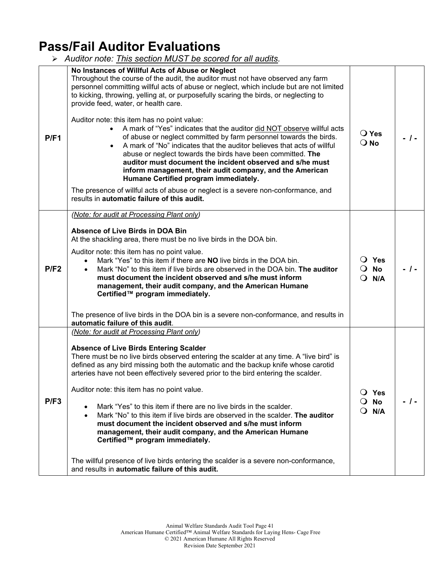## **Pass/Fail Auditor Evaluations**

*Auditor note: This section MUST be scored for all audits.* 

| P/F1 | No Instances of Willful Acts of Abuse or Neglect<br>Throughout the course of the audit, the auditor must not have observed any farm<br>personnel committing willful acts of abuse or neglect, which include but are not limited<br>to kicking, throwing, yelling at, or purposefully scaring the birds, or neglecting to<br>provide feed, water, or health care.<br>Auditor note: this item has no point value:<br>• A mark of "Yes" indicates that the auditor did NOT observe willful acts<br>of abuse or neglect committed by farm personnel towards the birds.<br>A mark of "No" indicates that the auditor believes that acts of willful<br>abuse or neglect towards the birds have been committed. The<br>auditor must document the incident observed and s/he must<br>inform management, their audit company, and the American<br>Humane Certified program immediately.<br>The presence of willful acts of abuse or neglect is a severe non-conformance, and<br>results in automatic failure of this audit. | $\bigcirc$ Yes<br>$\overline{O}$ No                | $-1-$ |
|------|--------------------------------------------------------------------------------------------------------------------------------------------------------------------------------------------------------------------------------------------------------------------------------------------------------------------------------------------------------------------------------------------------------------------------------------------------------------------------------------------------------------------------------------------------------------------------------------------------------------------------------------------------------------------------------------------------------------------------------------------------------------------------------------------------------------------------------------------------------------------------------------------------------------------------------------------------------------------------------------------------------------------|----------------------------------------------------|-------|
| P/F2 | (Note: for audit at Processing Plant only)<br>Absence of Live Birds in DOA Bin<br>At the shackling area, there must be no live birds in the DOA bin.<br>Auditor note: this item has no point value.<br>Mark "Yes" to this item if there are NO live birds in the DOA bin.<br>Mark "No" to this item if live birds are observed in the DOA bin. The auditor<br>$\bullet$<br>must document the incident observed and s/he must inform<br>management, their audit company, and the American Humane<br>Certified™ program immediately.<br>The presence of live birds in the DOA bin is a severe non-conformance, and results in<br>automatic failure of this audit.                                                                                                                                                                                                                                                                                                                                                    | $\overline{O}$ Yes<br>$\overline{O}$ No<br>$O$ N/A | - 1-  |
| P/F3 | (Note: for audit at Processing Plant only)<br><b>Absence of Live Birds Entering Scalder</b><br>There must be no live birds observed entering the scalder at any time. A "live bird" is<br>defined as any bird missing both the automatic and the backup knife whose carotid<br>arteries have not been effectively severed prior to the bird entering the scalder.<br>Auditor note: this item has no point value.<br>Mark "Yes" to this item if there are no live birds in the scalder.<br>Mark "No" to this item if live birds are observed in the scalder. The auditor<br>must document the incident observed and s/he must inform<br>management, their audit company, and the American Humane<br>Certified™ program immediately.<br>The willful presence of live birds entering the scalder is a severe non-conformance,<br>and results in automatic failure of this audit.                                                                                                                                      | $\bigcirc$ Yes<br><b>No</b><br>N/A<br>$\Omega$     | $-1-$ |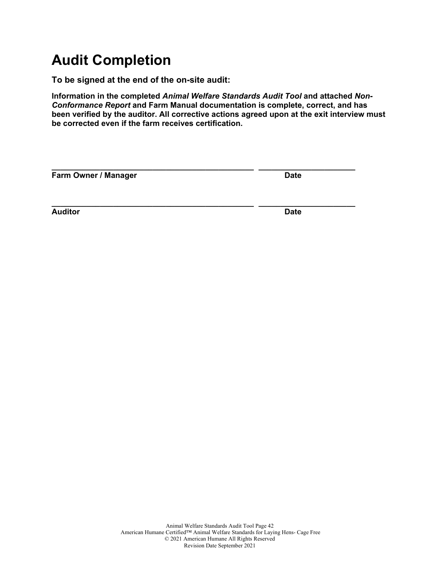# **Audit Completion**

**To be signed at the end of the on-site audit:**

**Information in the completed** *Animal Welfare Standards Audit Tool* **and attached** *Non-Conformance Report* **and Farm Manual documentation is complete, correct, and has been verified by the auditor. All corrective actions agreed upon at the exit interview must be corrected even if the farm receives certification.**

| Farm Owner / Manager | <b>Date</b> |  |  |
|----------------------|-------------|--|--|
|                      |             |  |  |
| <b>Auditor</b>       | <b>Date</b> |  |  |